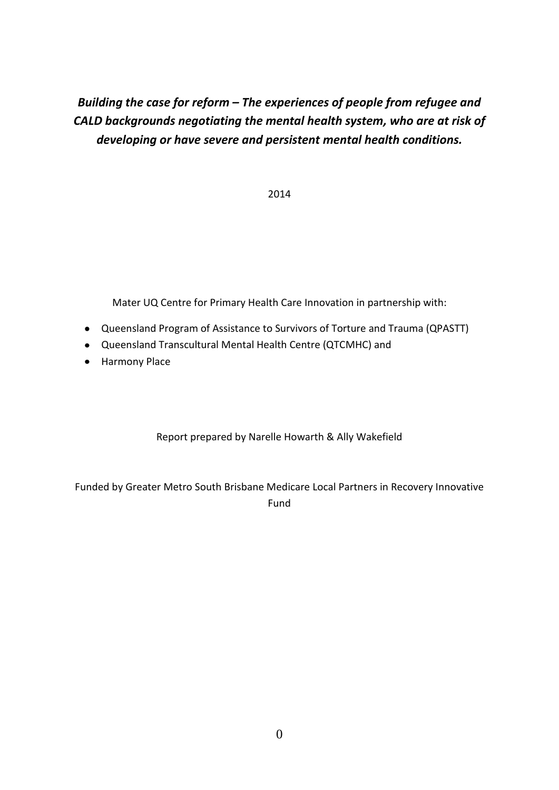# *Building the case for reform – The experiences of people from refugee and CALD backgrounds negotiating the mental health system, who are at risk of developing or have severe and persistent mental health conditions.*

2014

Mater UQ Centre for Primary Health Care Innovation in partnership with:

- Queensland Program of Assistance to Survivors of Torture and Trauma (QPASTT)
- Queensland Transcultural Mental Health Centre (QTCMHC) and
- Harmony Place

Report prepared by Narelle Howarth & Ally Wakefield

Funded by Greater Metro South Brisbane Medicare Local Partners in Recovery Innovative Fund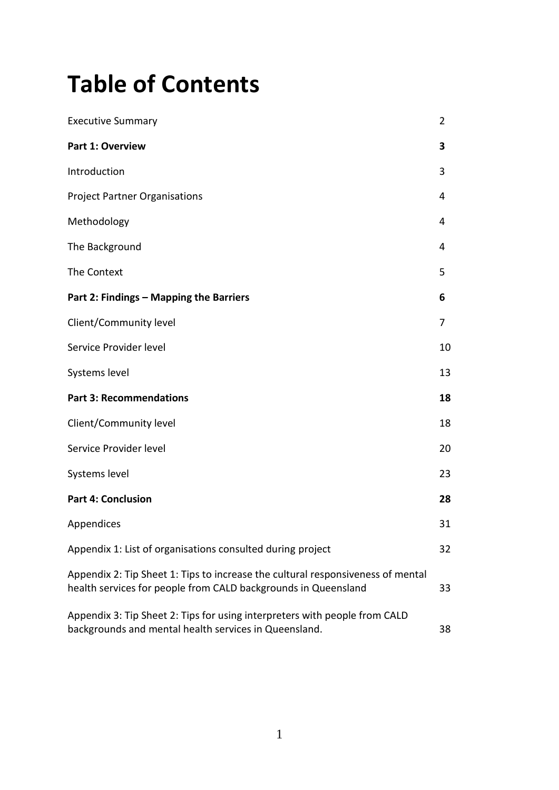# **Table of Contents**

| <b>Executive Summary</b>                                                                                                                          | $\overline{2}$ |
|---------------------------------------------------------------------------------------------------------------------------------------------------|----------------|
| <b>Part 1: Overview</b>                                                                                                                           | 3              |
| Introduction                                                                                                                                      | 3              |
| <b>Project Partner Organisations</b>                                                                                                              | 4              |
| Methodology                                                                                                                                       | 4              |
| The Background                                                                                                                                    | 4              |
| The Context                                                                                                                                       | 5              |
| Part 2: Findings - Mapping the Barriers                                                                                                           | 6              |
| Client/Community level                                                                                                                            | 7              |
| Service Provider level                                                                                                                            | 10             |
| Systems level                                                                                                                                     | 13             |
| <b>Part 3: Recommendations</b>                                                                                                                    | 18             |
| Client/Community level                                                                                                                            | 18             |
| Service Provider level                                                                                                                            | 20             |
| Systems level                                                                                                                                     | 23             |
| <b>Part 4: Conclusion</b>                                                                                                                         | 28             |
| Appendices                                                                                                                                        | 31             |
| Appendix 1: List of organisations consulted during project                                                                                        | 32             |
| Appendix 2: Tip Sheet 1: Tips to increase the cultural responsiveness of mental<br>health services for people from CALD backgrounds in Queensland | 33             |
| Appendix 3: Tip Sheet 2: Tips for using interpreters with people from CALD<br>backgrounds and mental health services in Queensland.               | 38             |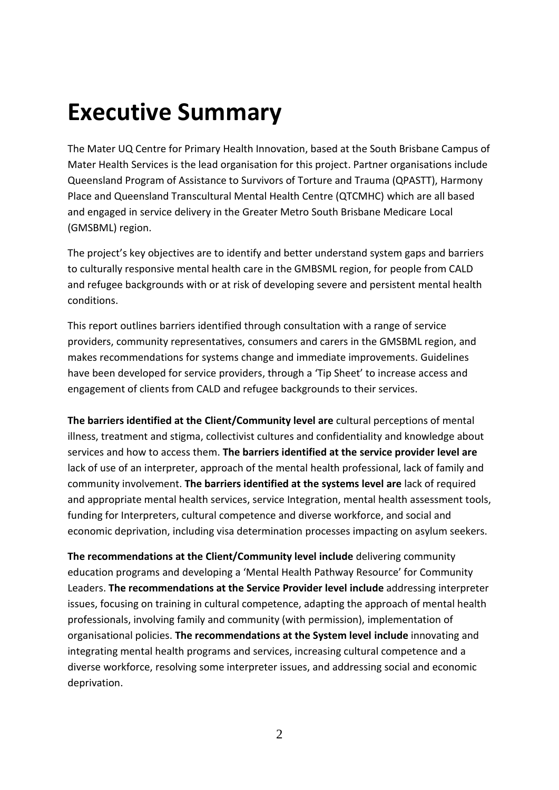# **Executive Summary**

The Mater UQ Centre for Primary Health Innovation, based at the South Brisbane Campus of Mater Health Services is the lead organisation for this project. Partner organisations include Queensland Program of Assistance to Survivors of Torture and Trauma (QPASTT), Harmony Place and Queensland Transcultural Mental Health Centre (QTCMHC) which are all based and engaged in service delivery in the Greater Metro South Brisbane Medicare Local (GMSBML) region.

The project's key objectives are to identify and better understand system gaps and barriers to culturally responsive mental health care in the GMBSML region, for people from CALD and refugee backgrounds with or at risk of developing severe and persistent mental health conditions.

This report outlines barriers identified through consultation with a range of service providers, community representatives, consumers and carers in the GMSBML region, and makes recommendations for systems change and immediate improvements. Guidelines have been developed for service providers, through a 'Tip Sheet' to increase access and engagement of clients from CALD and refugee backgrounds to their services.

**The barriers identified at the Client/Community level are** cultural perceptions of mental illness, treatment and stigma, collectivist cultures and confidentiality and knowledge about services and how to access them. **The barriers identified at the service provider level are** lack of use of an interpreter, approach of the mental health professional, lack of family and community involvement. **The barriers identified at the systems level are** lack of required and appropriate mental health services, service Integration, mental health assessment tools, funding for Interpreters, cultural competence and diverse workforce, and social and economic deprivation, including visa determination processes impacting on asylum seekers.

**The recommendations at the Client/Community level include** delivering community education programs and developing a 'Mental Health Pathway Resource' for Community Leaders. **The recommendations at the Service Provider level include** addressing interpreter issues, focusing on training in cultural competence, adapting the approach of mental health professionals, involving family and community (with permission), implementation of organisational policies. **The recommendations at the System level include** innovating and integrating mental health programs and services, increasing cultural competence and a diverse workforce, resolving some interpreter issues, and addressing social and economic deprivation.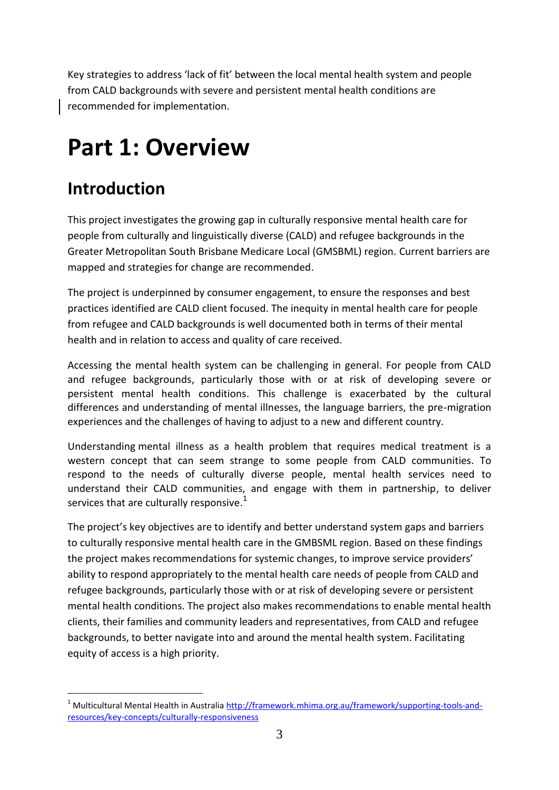Key strategies to address 'lack of fit' between the local mental health system and people from CALD backgrounds with severe and persistent mental health conditions are recommended for implementation.

# **Part 1: Overview**

# **Introduction**

This project investigates the growing gap in culturally responsive mental health care for people from culturally and linguistically diverse (CALD) and refugee backgrounds in the Greater Metropolitan South Brisbane Medicare Local (GMSBML) region. Current barriers are mapped and strategies for change are recommended.

The project is underpinned by consumer engagement, to ensure the responses and best practices identified are CALD client focused. The inequity in mental health care for people from refugee and CALD backgrounds is well documented both in terms of their mental health and in relation to access and quality of care received.

Accessing the mental health system can be challenging in general. For people from CALD and refugee backgrounds, particularly those with or at risk of developing severe or persistent mental health conditions. This challenge is exacerbated by the cultural differences and understanding of mental illnesses, the language barriers, the pre-migration experiences and the challenges of having to adjust to a new and different country.

Understanding mental illness as a health problem that requires medical treatment is a western concept that can seem strange to some people from CALD communities. To respond to the needs of culturally diverse people, mental health services need to understand their CALD communities, and engage with them in partnership, to deliver services that are culturally responsive.<sup>1</sup>

The project's key objectives are to identify and better understand system gaps and barriers to culturally responsive mental health care in the GMBSML region. Based on these findings the project makes recommendations for systemic changes, to improve service providers' ability to respond appropriately to the mental health care needs of people from CALD and refugee backgrounds, particularly those with or at risk of developing severe or persistent mental health conditions. The project also makes recommendations to enable mental health clients, their families and community leaders and representatives, from CALD and refugee backgrounds, to better navigate into and around the mental health system. Facilitating equity of access is a high priority.

 $\overline{a}$ <sup>1</sup> Multicultural Mental Health in Australia [http://framework.mhima.org.au/framework/supporting-tools-and](http://framework.mhima.org.au/framework/supporting-tools-and-resources/key-concepts/culturally-responsiveness)[resources/key-concepts/culturally-responsiveness](http://framework.mhima.org.au/framework/supporting-tools-and-resources/key-concepts/culturally-responsiveness)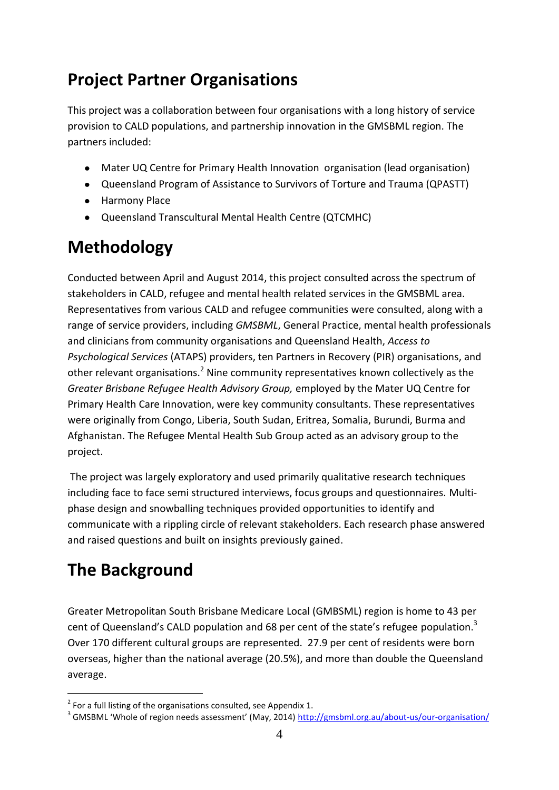# **Project Partner Organisations**

This project was a collaboration between four organisations with a long history of service provision to CALD populations, and partnership innovation in the GMSBML region. The partners included:

- Mater UQ Centre for Primary Health Innovation organisation (lead organisation)
- Queensland Program of Assistance to Survivors of Torture and Trauma (QPASTT)
- **•** Harmony Place
- Queensland Transcultural Mental Health Centre (QTCMHC)

# **Methodology**

Conducted between April and August 2014, this project consulted across the spectrum of stakeholders in CALD, refugee and mental health related services in the GMSBML area. Representatives from various CALD and refugee communities were consulted, along with a range of service providers, including *GMSBML*, General Practice, mental health professionals and clinicians from community organisations and Queensland Health, *Access to Psychological Services* (ATAPS) providers, ten Partners in Recovery (PIR) organisations, and other relevant organisations.<sup>2</sup> Nine community representatives known collectively as the *Greater Brisbane Refugee Health Advisory Group,* employed by the Mater UQ Centre for Primary Health Care Innovation, were key community consultants. These representatives were originally from Congo, Liberia, South Sudan, Eritrea, Somalia, Burundi, Burma and Afghanistan. The Refugee Mental Health Sub Group acted as an advisory group to the project.

The project was largely exploratory and used primarily qualitative research techniques including face to face semi structured interviews, focus groups and questionnaires. Multiphase design and snowballing techniques provided opportunities to identify and communicate with a rippling circle of relevant stakeholders. Each research phase answered and raised questions and built on insights previously gained.

# **The Background**

 $\overline{a}$ 

Greater Metropolitan South Brisbane Medicare Local (GMBSML) region is home to 43 per cent of Queensland's CALD population and 68 per cent of the state's refugee population.<sup>3</sup> Over 170 different cultural groups are represented. 27.9 per cent of residents were born overseas, higher than the national average (20.5%), and more than double the Queensland average.

 $2$  For a full listing of the organisations consulted, see Appendix 1.

<sup>&</sup>lt;sup>3</sup> GMSBML 'Whole of region needs assessment' (May, 2014) <http://gmsbml.org.au/about-us/our-organisation/>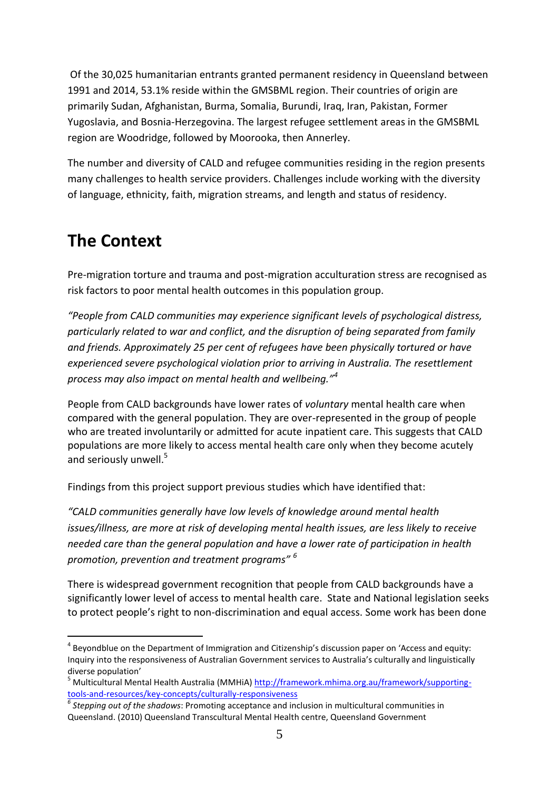Of the 30,025 humanitarian entrants granted permanent residency in Queensland between 1991 and 2014, 53.1% reside within the GMSBML region. Their countries of origin are primarily Sudan, Afghanistan, Burma, Somalia, Burundi, Iraq, Iran, Pakistan, Former Yugoslavia, and Bosnia-Herzegovina. The largest refugee settlement areas in the GMSBML region are Woodridge, followed by Moorooka, then Annerley.

The number and diversity of CALD and refugee communities residing in the region presents many challenges to health service providers. Challenges include working with the diversity of language, ethnicity, faith, migration streams, and length and status of residency.

# **The Context**

-

Pre-migration torture and trauma and post-migration acculturation stress are recognised as risk factors to poor mental health outcomes in this population group.

*"People from CALD communities may experience significant levels of psychological distress, particularly related to war and conflict, and the disruption of being separated from family and friends. Approximately 25 per cent of refugees have been physically tortured or have experienced severe psychological violation prior to arriving in Australia. The resettlement process may also impact on mental health and wellbeing."<sup>4</sup>*

People from CALD backgrounds have lower rates of *voluntary* mental health care when compared with the general population. They are over-represented in the group of people who are treated involuntarily or admitted for acute inpatient care. This suggests that CALD populations are more likely to access mental health care only when they become acutely and seriously unwell.<sup>5</sup>

Findings from this project support previous studies which have identified that:

*"CALD communities generally have low levels of knowledge around mental health issues/illness, are more at risk of developing mental health issues, are less likely to receive needed care than the general population and have a lower rate of participation in health promotion, prevention and treatment programs" <sup>6</sup>*

There is widespread government recognition that people from CALD backgrounds have a significantly lower level of access to mental health care. State and National legislation seeks to protect people's right to non-discrimination and equal access. Some work has been done

<sup>&</sup>lt;sup>4</sup> Beyondblue on the Department of Immigration and Citizenship's discussion paper on 'Access and equity: Inquiry into the responsiveness of Australian Government services to Australia's culturally and linguistically diverse population'

<sup>&</sup>lt;sup>5</sup> Multicultural Mental Health Australia (MMHiA) [http://framework.mhima.org.au/framework/supporting](http://framework.mhima.org.au/framework/supporting-tools-and-resources/key-concepts/culturally-responsiveness)[tools-and-resources/key-concepts/culturally-responsiveness](http://framework.mhima.org.au/framework/supporting-tools-and-resources/key-concepts/culturally-responsiveness)

*<sup>6</sup> Stepping out of the shadows*: Promoting acceptance and inclusion in multicultural communities in Queensland. (2010) Queensland Transcultural Mental Health centre, Queensland Government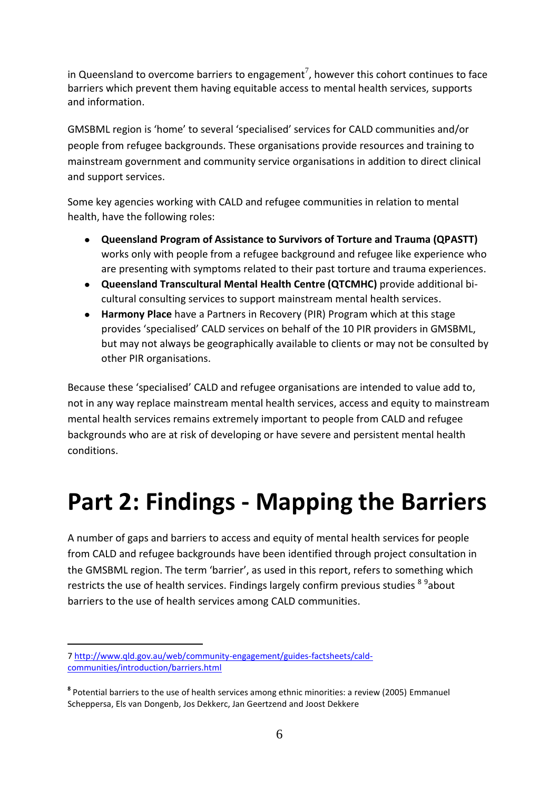in Queensland to overcome barriers to engagement<sup>7</sup>, however this cohort continues to face barriers which prevent them having equitable access to mental health services, supports and information.

GMSBML region is 'home' to several 'specialised' services for CALD communities and/or people from refugee backgrounds. These organisations provide resources and training to mainstream government and community service organisations in addition to direct clinical and support services.

Some key agencies working with CALD and refugee communities in relation to mental health, have the following roles:

- **Queensland Program of Assistance to Survivors of Torture and Trauma (QPASTT)** works only with people from a refugee background and refugee like experience who are presenting with symptoms related to their past torture and trauma experiences.
- **Queensland Transcultural Mental Health Centre (QTCMHC)** provide additional bicultural consulting services to support mainstream mental health services.
- **Harmony Place** have a Partners in Recovery (PIR) Program which at this stage  $\bullet$ provides 'specialised' CALD services on behalf of the 10 PIR providers in GMSBML, but may not always be geographically available to clients or may not be consulted by other PIR organisations.

Because these 'specialised' CALD and refugee organisations are intended to value add to, not in any way replace mainstream mental health services, access and equity to mainstream mental health services remains extremely important to people from CALD and refugee backgrounds who are at risk of developing or have severe and persistent mental health conditions.

# **Part 2: Findings - Mapping the Barriers**

A number of gaps and barriers to access and equity of mental health services for people from CALD and refugee backgrounds have been identified through project consultation in the GMSBML region. The term 'barrier', as used in this report, refers to something which restricts the use of health services. Findings largely confirm previous studies <sup>8 9</sup>about barriers to the use of health services among CALD communities.

 $\overline{a}$ 

<sup>7</sup> http://www.qld.gov.au/web/community-engagement/guides-factsheets/caldcommunities/introduction/barriers.html

**<sup>8</sup>** Potential barriers to the use of health services among ethnic minorities: a review (2005) [Emmanuel](http://fampra.oxfordjournals.org/search?author1=Emmanuel+Scheppers&sortspec=date&submit=Submit)  [Scheppers](http://fampra.oxfordjournals.org/search?author1=Emmanuel+Scheppers&sortspec=date&submit=Submit)[a,](http://fampra.oxfordjournals.org/content/23/3/325.full#aff-1) [Els van Dongenb,](http://fampra.oxfordjournals.org/search?author1=Els+van+Dongen&sortspec=date&submit=Submit) [Jos Dekkerc,](http://fampra.oxfordjournals.org/search?author1=Jos+Dekker&sortspec=date&submit=Submit) [Jan Geertzend](http://fampra.oxfordjournals.org/search?author1=Jan+Geertzen&sortspec=date&submit=Submit) and Joost [Dekkere](http://fampra.oxfordjournals.org/search?author1=Joost+Dekker&sortspec=date&submit=Submit)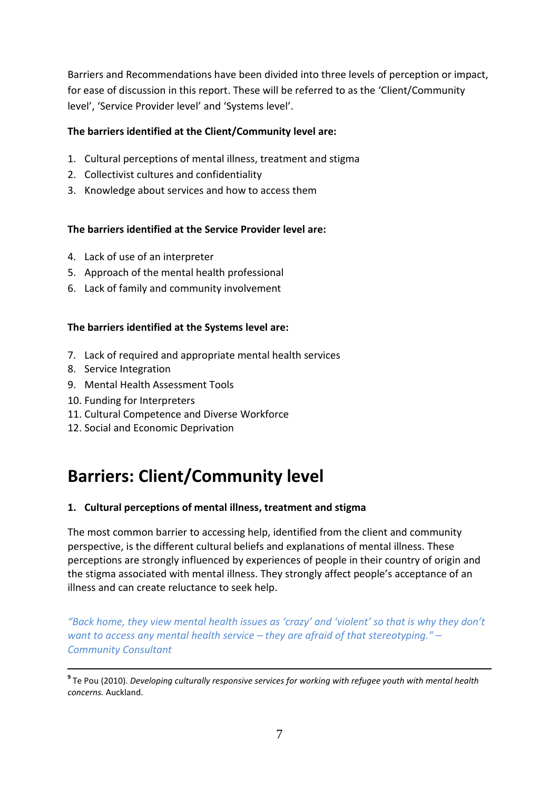Barriers and Recommendations have been divided into three levels of perception or impact, for ease of discussion in this report. These will be referred to as the 'Client/Community level', 'Service Provider level' and 'Systems level'.

#### **The barriers identified at the Client/Community level are:**

- 1. Cultural perceptions of mental illness, treatment and stigma
- 2. Collectivist cultures and confidentiality
- 3. Knowledge about services and how to access them

#### **The barriers identified at the Service Provider level are:**

- 4. Lack of use of an interpreter
- 5. Approach of the mental health professional
- 6. Lack of family and community involvement

#### **The barriers identified at the Systems level are:**

- 7. Lack of required and appropriate mental health services
- 8. Service Integration

-

- 9. Mental Health Assessment Tools
- 10. Funding for Interpreters
- 11. Cultural Competence and Diverse Workforce
- 12. Social and Economic Deprivation

# **Barriers: Client/Community level**

#### **1. Cultural perceptions of mental illness, treatment and stigma**

The most common barrier to accessing help, identified from the client and community perspective, is the different cultural beliefs and explanations of mental illness. These perceptions are strongly influenced by experiences of people in their country of origin and the stigma associated with mental illness. They strongly affect people's acceptance of an illness and can create reluctance to seek help.

*"Back home, they view mental health issues as 'crazy' and 'violent' so that is why they don't want to access any mental health service – they are afraid of that stereotyping." – Community Consultant*

**9** Te Pou (2010). *Developing culturally responsive services for working with refugee youth with mental health concerns.* Auckland.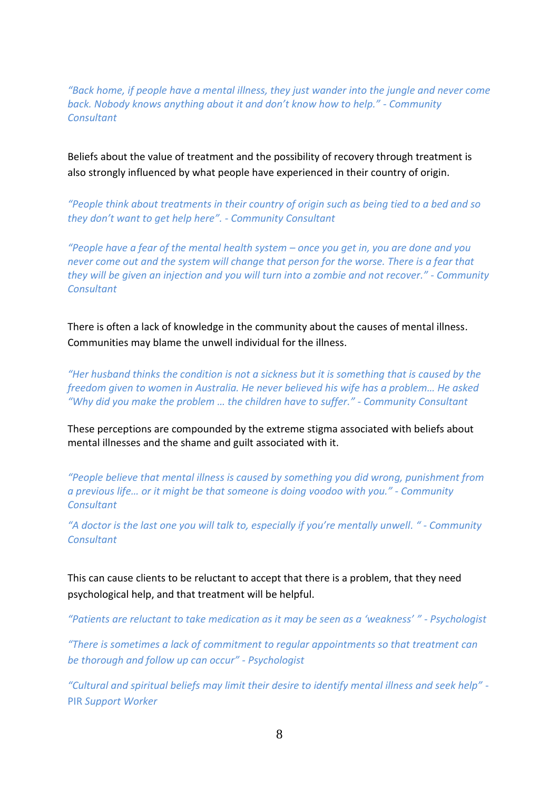*"Back home, if people have a mental illness, they just wander into the jungle and never come back. Nobody knows anything about it and don't know how to help." - Community Consultant*

Beliefs about the value of treatment and the possibility of recovery through treatment is also strongly influenced by what people have experienced in their country of origin.

*"People think about treatments in their country of origin such as being tied to a bed and so they don't want to get help here". - Community Consultant*

*"People have a fear of the mental health system – once you get in, you are done and you never come out and the system will change that person for the worse. There is a fear that they will be given an injection and you will turn into a zombie and not recover." - Community Consultant*

There is often a lack of knowledge in the community about the causes of mental illness. Communities may blame the unwell individual for the illness.

*"Her husband thinks the condition is not a sickness but it is something that is caused by the freedom given to women in Australia. He never believed his wife has a problem… He asked "Why did you make the problem … the children have to suffer." - Community Consultant*

These perceptions are compounded by the extreme stigma associated with beliefs about mental illnesses and the shame and guilt associated with it.

*"People believe that mental illness is caused by something you did wrong, punishment from a previous life… or it might be that someone is doing voodoo with you." - Community Consultant*

*"A doctor is the last one you will talk to, especially if you're mentally unwell. " - Community Consultant*

This can cause clients to be reluctant to accept that there is a problem, that they need psychological help, and that treatment will be helpful.

*"Patients are reluctant to take medication as it may be seen as a 'weakness' " - Psychologist*

*"There is sometimes a lack of commitment to regular appointments so that treatment can be thorough and follow up can occur" - Psychologist*

*"Cultural and spiritual beliefs may limit their desire to identify mental illness and seek help" -* PIR *Support Worker*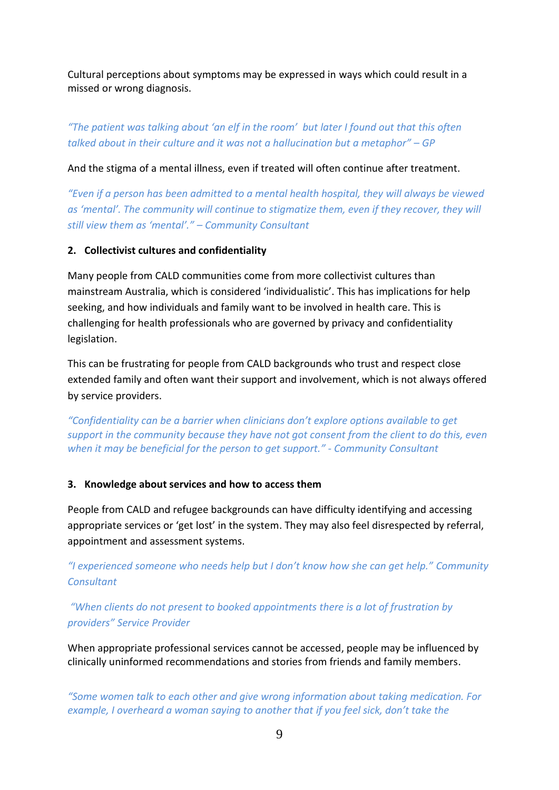Cultural perceptions about symptoms may be expressed in ways which could result in a missed or wrong diagnosis.

# *"The patient was talking about 'an elf in the room' but later I found out that this often talked about in their culture and it was not a hallucination but a metaphor" – GP*

And the stigma of a mental illness, even if treated will often continue after treatment.

*"Even if a person has been admitted to a mental health hospital, they will always be viewed as 'mental'. The community will continue to stigmatize them, even if they recover, they will still view them as 'mental'." – Community Consultant* 

#### **2. Collectivist cultures and confidentiality**

Many people from CALD communities come from more collectivist cultures than mainstream Australia, which is considered 'individualistic'. This has implications for help seeking, and how individuals and family want to be involved in health care. This is challenging for health professionals who are governed by privacy and confidentiality legislation.

This can be frustrating for people from CALD backgrounds who trust and respect close extended family and often want their support and involvement, which is not always offered by service providers.

*"Confidentiality can be a barrier when clinicians don't explore options available to get support in the community because they have not got consent from the client to do this, even when it may be beneficial for the person to get support." - Community Consultant*

#### **3. Knowledge about services and how to access them**

People from CALD and refugee backgrounds can have difficulty identifying and accessing appropriate services or 'get lost' in the system. They may also feel disrespected by referral, appointment and assessment systems.

*"I experienced someone who needs help but I don't know how she can get help." Community Consultant*

*"When clients do not present to booked appointments there is a lot of frustration by providers" Service Provider*

When appropriate professional services cannot be accessed, people may be influenced by clinically uninformed recommendations and stories from friends and family members.

*"Some women talk to each other and give wrong information about taking medication. For example, I overheard a woman saying to another that if you feel sick, don't take the*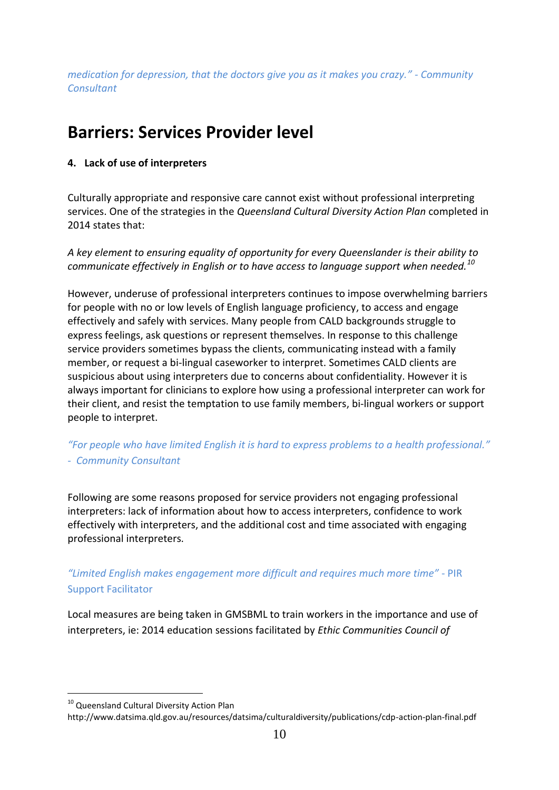*medication for depression, that the doctors give you as it makes you crazy." - Community Consultant*

# **Barriers: Services Provider level**

#### **4. Lack of use of interpreters**

Culturally appropriate and responsive care cannot exist without professional interpreting services. One of the strategies in the *Queensland Cultural Diversity Action Plan* completed in 2014 states that:

*A key element to ensuring equality of opportunity for every Queenslander is their ability to communicate effectively in English or to have access to language support when needed.<sup>10</sup>*

However, underuse of professional interpreters continues to impose overwhelming barriers for people with no or low levels of English language proficiency, to access and engage effectively and safely with services. Many people from CALD backgrounds struggle to express feelings, ask questions or represent themselves. In response to this challenge service providers sometimes bypass the clients, communicating instead with a family member, or request a bi-lingual caseworker to interpret. Sometimes CALD clients are suspicious about using interpreters due to concerns about confidentiality. However it is always important for clinicians to explore how using a professional interpreter can work for their client, and resist the temptation to use family members, bi-lingual workers or support people to interpret.

*"For people who have limited English it is hard to express problems to a health professional." - Community Consultant*

Following are some reasons proposed for service providers not engaging professional interpreters: lack of information about how to access interpreters, confidence to work effectively with interpreters, and the additional cost and time associated with engaging professional interpreters.

## *"Limited English makes engagement more difficult and requires much more time"* - PIR Support Facilitator

Local measures are being taken in GMSBML to train workers in the importance and use of interpreters, ie: 2014 education sessions facilitated by *Ethic Communities Council of* 

 $\overline{a}$ 

<sup>&</sup>lt;sup>10</sup> Queensland Cultural Diversity Action Plan

http://www.datsima.qld.gov.au/resources/datsima/culturaldiversity/publications/cdp-action-plan-final.pdf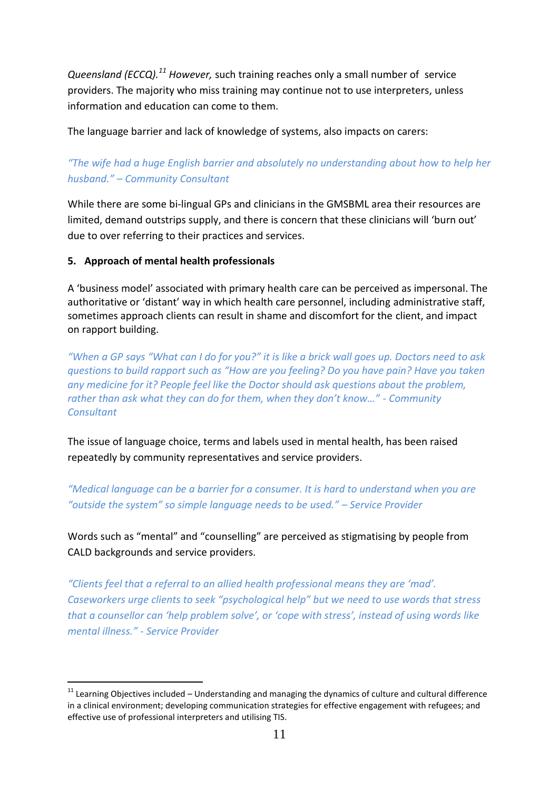*Queensland (ECCQ).<sup>11</sup> However,* such training reaches only a small number of service providers. The majority who miss training may continue not to use interpreters, unless information and education can come to them.

The language barrier and lack of knowledge of systems, also impacts on carers:

# *"The wife had a huge English barrier and absolutely no understanding about how to help her husband." – Community Consultant*

While there are some bi-lingual GPs and clinicians in the GMSBML area their resources are limited, demand outstrips supply, and there is concern that these clinicians will 'burn out' due to over referring to their practices and services.

## **5. Approach of mental health professionals**

-

A 'business model' associated with primary health care can be perceived as impersonal. The authoritative or 'distant' way in which health care personnel, including administrative staff, sometimes approach clients can result in shame and discomfort for the client, and impact on rapport building.

*"When a GP says "What can I do for you?" it is like a brick wall goes up. Doctors need to ask questions to build rapport such as "How are you feeling? Do you have pain? Have you taken any medicine for it? People feel like the Doctor should ask questions about the problem, rather than ask what they can do for them, when they don't know…" - Community Consultant*

The issue of language choice, terms and labels used in mental health, has been raised repeatedly by community representatives and service providers.

*"Medical language can be a barrier for a consumer. It is hard to understand when you are "outside the system" so simple language needs to be used." – Service Provider*

Words such as "mental" and "counselling" are perceived as stigmatising by people from CALD backgrounds and service providers.

*"Clients feel that a referral to an allied health professional means they are 'mad'. Caseworkers urge clients to seek "psychological help" but we need to use words that stress that a counsellor can 'help problem solve', or 'cope with stress', instead of using words like mental illness." - Service Provider*

 $11$  Learning Objectives included – Understanding and managing the dynamics of culture and cultural difference in a clinical environment; developing communication strategies for effective engagement with refugees; and effective use of professional interpreters and utilising TIS.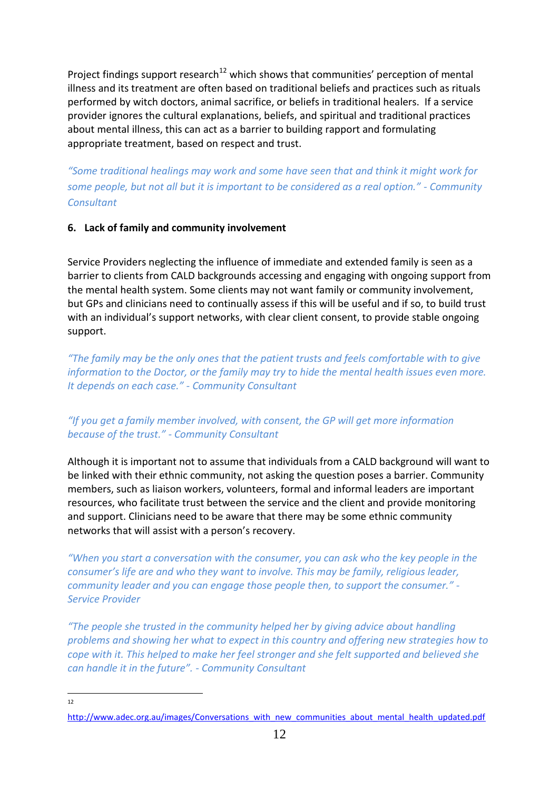Project findings support research<sup>12</sup> which shows that communities' perception of mental illness and its treatment are often based on traditional beliefs and practices such as rituals performed by witch doctors, animal sacrifice, or beliefs in traditional healers. If a service provider ignores the cultural explanations, beliefs, and spiritual and traditional practices about mental illness, this can act as a barrier to building rapport and formulating appropriate treatment, based on respect and trust.

*"Some traditional healings may work and some have seen that and think it might work for some people, but not all but it is important to be considered as a real option." - Community Consultant*

#### **6. Lack of family and community involvement**

Service Providers neglecting the influence of immediate and extended family is seen as a barrier to clients from CALD backgrounds accessing and engaging with ongoing support from the mental health system. Some clients may not want family or community involvement, but GPs and clinicians need to continually assess if this will be useful and if so, to build trust with an individual's support networks, with clear client consent, to provide stable ongoing support.

*"The family may be the only ones that the patient trusts and feels comfortable with to give information to the Doctor, or the family may try to hide the mental health issues even more. It depends on each case." - Community Consultant*

## *"If you get a family member involved, with consent, the GP will get more information because of the trust." - Community Consultant*

Although it is important not to assume that individuals from a CALD background will want to be linked with their ethnic community, not asking the question poses a barrier. Community members, such as liaison workers, volunteers, formal and informal leaders are important resources, who facilitate trust between the service and the client and provide monitoring and support. Clinicians need to be aware that there may be some ethnic community networks that will assist with a person's recovery.

*"When you start a conversation with the consumer, you can ask who the key people in the consumer's life are and who they want to involve. This may be family, religious leader, community leader and you can engage those people then, to support the consumer." - Service Provider*

*"The people she trusted in the community helped her by giving advice about handling problems and showing her what to expect in this country and offering new strategies how to cope with it. This helped to make her feel stronger and she felt supported and believed she can handle it in the future". - Community Consultant*

 $\frac{1}{12}$ 

[http://www.adec.org.au/images/Conversations\\_with\\_new\\_communities\\_about\\_mental\\_health\\_updated.pdf](http://www.adec.org.au/images/Conversations_with_new_communities_about_mental_health_updated.pdf)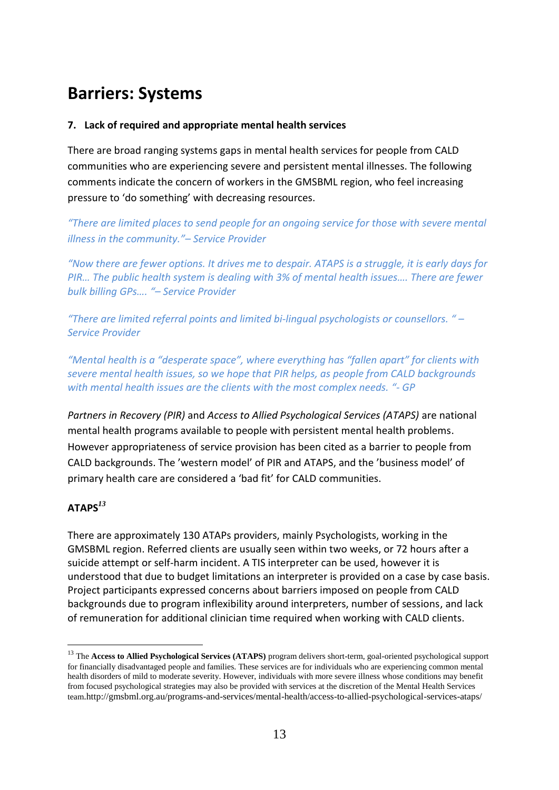# **Barriers: Systems**

#### **7. Lack of required and appropriate mental health services**

There are broad ranging systems gaps in mental health services for people from CALD communities who are experiencing severe and persistent mental illnesses. The following comments indicate the concern of workers in the GMSBML region, who feel increasing pressure to 'do something' with decreasing resources.

*"There are limited places to send people for an ongoing service for those with severe mental illness in the community."– Service Provider*

*"Now there are fewer options. It drives me to despair. ATAPS is a struggle, it is early days for PIR… The public health system is dealing with 3% of mental health issues…. There are fewer bulk billing GPs…. "– Service Provider*

*"There are limited referral points and limited bi-lingual psychologists or counsellors. " – Service Provider*

*"Mental health is a "desperate space", where everything has "fallen apart" for clients with severe mental health issues, so we hope that PIR helps, as people from CALD backgrounds with mental health issues are the clients with the most complex needs. "- GP*

*Partners in Recovery (PIR)* and *Access to Allied Psychological Services (ATAPS)* are national mental health programs available to people with persistent mental health problems. However appropriateness of service provision has been cited as a barrier to people from CALD backgrounds. The 'western model' of PIR and ATAPS, and the 'business model' of primary health care are considered a 'bad fit' for CALD communities.

#### **ATAPS***<sup>13</sup>*

 $\overline{a}$ 

There are approximately 130 ATAPs providers, mainly Psychologists, working in the GMSBML region. Referred clients are usually seen within two weeks, or 72 hours after a suicide attempt or self-harm incident. A TIS interpreter can be used, however it is understood that due to budget limitations an interpreter is provided on a case by case basis. Project participants expressed concerns about barriers imposed on people from CALD backgrounds due to program inflexibility around interpreters, number of sessions, and lack of remuneration for additional clinician time required when working with CALD clients.

<sup>13</sup> The **Access to Allied Psychological Services (ATAPS)** program delivers short-term, goal-oriented psychological support for financially disadvantaged people and families. These services are for individuals who are experiencing common mental health disorders of mild to moderate severity. However, individuals with more severe illness whose conditions may benefit from focused psychological strategies may also be provided with services at the discretion of the Mental Health Services team.http://gmsbml.org.au/programs-and-services/mental-health/access-to-allied-psychological-services-ataps/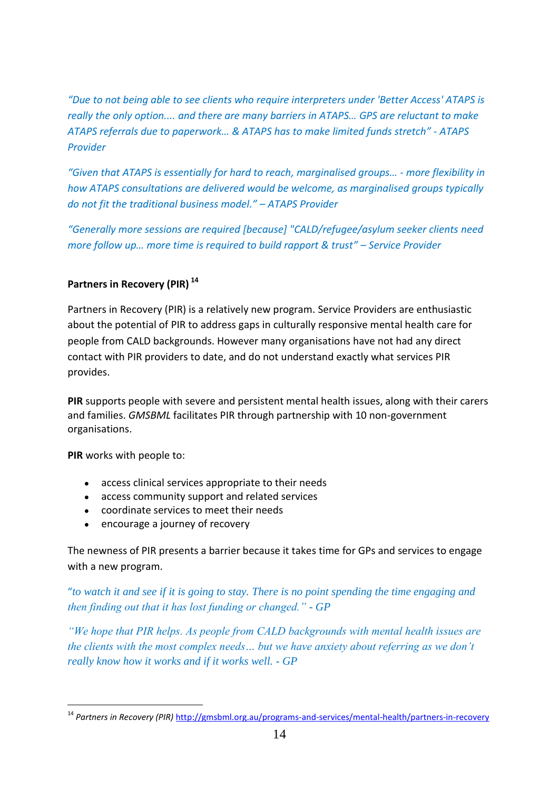*"Due to not being able to see clients who require interpreters under 'Better Access' ATAPS is really the only option.... and there are many barriers in ATAPS… GPS are reluctant to make ATAPS referrals due to paperwork… & ATAPS has to make limited funds stretch" - ATAPS Provider*

*"Given that ATAPS is essentially for hard to reach, marginalised groups… - more flexibility in how ATAPS consultations are delivered would be welcome, as marginalised groups typically do not fit the traditional business model." – ATAPS Provider*

*"Generally more sessions are required [because] "CALD/refugee/asylum seeker clients need more follow up… more time is required to build rapport & trust" – Service Provider*

## **Partners in Recovery (PIR) <sup>14</sup>**

Partners in Recovery (PIR) is a relatively new program. Service Providers are enthusiastic about the potential of PIR to address gaps in culturally responsive mental health care for people from CALD backgrounds. However many organisations have not had any direct contact with PIR providers to date, and do not understand exactly what services PIR provides.

**PIR** supports people with severe and persistent mental health issues, along with their carers and families. *GMSBML* facilitates PIR through partnership with 10 non-government organisations.

**PIR** works with people to:

-

- access clinical services appropriate to their needs
- access community support and related services
- coordinate services to meet their needs
- encourage a journey of recovery

The newness of PIR presents a barrier because it takes time for GPs and services to engage with a new program.

"*to watch it and see if it is going to stay. There is no point spending the time engaging and then finding out that it has lost funding or changed." - GP*

*"We hope that PIR helps. As people from CALD backgrounds with mental health issues are the clients with the most complex needs… but we have anxiety about referring as we don"t really know how it works and if it works well. - GP*

<sup>14</sup> *Partners in Recovery (PIR)* <http://gmsbml.org.au/programs-and-services/mental-health/partners-in-recovery>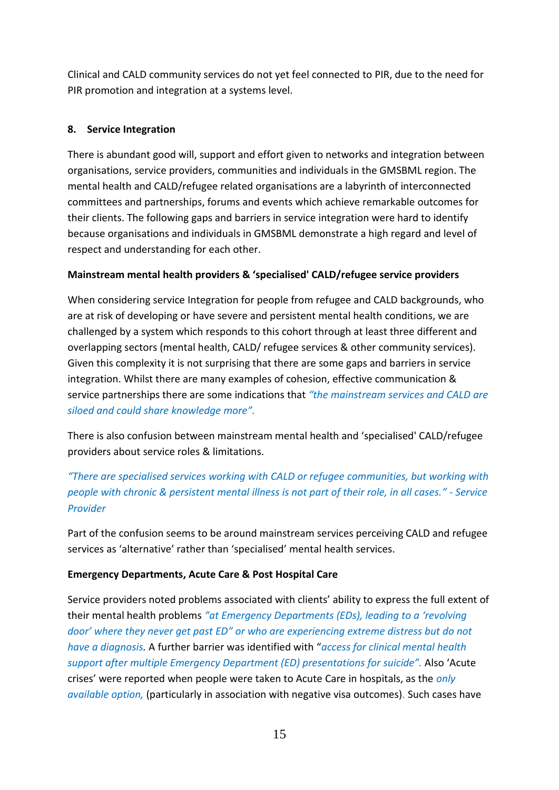Clinical and CALD community services do not yet feel connected to PIR, due to the need for PIR promotion and integration at a systems level.

### **8. Service Integration**

There is abundant good will, support and effort given to networks and integration between organisations, service providers, communities and individuals in the GMSBML region. The mental health and CALD/refugee related organisations are a labyrinth of interconnected committees and partnerships, forums and events which achieve remarkable outcomes for their clients. The following gaps and barriers in service integration were hard to identify because organisations and individuals in GMSBML demonstrate a high regard and level of respect and understanding for each other.

#### **Mainstream mental health providers & 'specialised' CALD/refugee service providers**

When considering service Integration for people from refugee and CALD backgrounds, who are at risk of developing or have severe and persistent mental health conditions, we are challenged by a system which responds to this cohort through at least three different and overlapping sectors (mental health, CALD/ refugee services & other community services). Given this complexity it is not surprising that there are some gaps and barriers in service integration. Whilst there are many examples of cohesion, effective communication & service partnerships there are some indications that *"the mainstream services and CALD are siloed and could share knowledge more".*

There is also confusion between mainstream mental health and 'specialised' CALD/refugee providers about service roles & limitations.

*"There are specialised services working with CALD or refugee communities, but working with people with chronic & persistent mental illness is not part of their role, in all cases." - Service Provider*

Part of the confusion seems to be around mainstream services perceiving CALD and refugee services as 'alternative' rather than 'specialised' mental health services.

#### **Emergency Departments, Acute Care & Post Hospital Care**

Service providers noted problems associated with clients' ability to express the full extent of their mental health problems *"at Emergency Departments (EDs), leading to a 'revolving door' where they never get past ED" or who are experiencing extreme distress but do not have a diagnosis.* A further barrier was identified with "*access for clinical mental health support after multiple Emergency Department (ED) presentations for suicide".* Also 'Acute crises' were reported when people were taken to Acute Care in hospitals, as the *only available option,* (particularly in association with negative visa outcomes)*.* Such cases have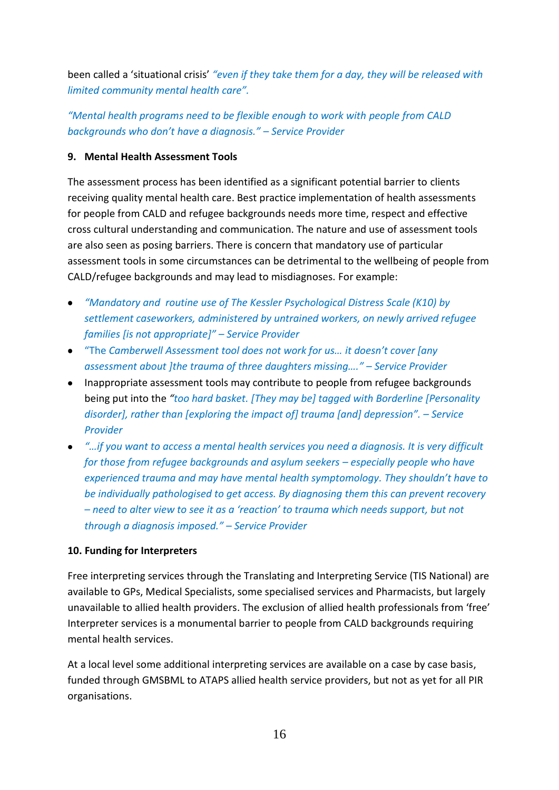been called a 'situational crisis' *"even if they take them for a day, they will be released with limited community mental health care".*

*"Mental health programs need to be flexible enough to work with people from CALD backgrounds who don't have a diagnosis." – Service Provider*

#### **9. Mental Health Assessment Tools**

The assessment process has been identified as a significant potential barrier to clients receiving quality mental health care. Best practice implementation of health assessments for people from CALD and refugee backgrounds needs more time, respect and effective cross cultural understanding and communication. The nature and use of assessment tools are also seen as posing barriers. There is concern that mandatory use of particular assessment tools in some circumstances can be detrimental to the wellbeing of people from CALD/refugee backgrounds and may lead to misdiagnoses. For example:

- *"Mandatory and routine use of The Kessler Psychological Distress Scale (K10) by settlement caseworkers, administered by untrained workers, on newly arrived refugee families [is not appropriate]" – Service Provider*
- "The *Camberwell Assessment tool does not work for us… it doesn't cover [any assessment about ]the trauma of three daughters missing…." – Service Provider*
- Inappropriate assessment tools may contribute to people from refugee backgrounds being put into the *"too hard basket. [They may be] tagged with Borderline [Personality disorder], rather than [exploring the impact of] trauma [and] depression". – Service Provider*
- *"…if you want to access a mental health services you need a diagnosis. It is very difficult for those from refugee backgrounds and asylum seekers – especially people who have experienced trauma and may have mental health symptomology. They shouldn't have to be individually pathologised to get access. By diagnosing them this can prevent recovery – need to alter view to see it as a 'reaction' to trauma which needs support, but not through a diagnosis imposed." – Service Provider*

#### **10. Funding for Interpreters**

Free interpreting services through the Translating and Interpreting Service (TIS National) are available to GPs, Medical Specialists, some specialised services and Pharmacists, but largely unavailable to allied health providers. The exclusion of allied health professionals from 'free' Interpreter services is a monumental barrier to people from CALD backgrounds requiring mental health services.

At a local level some additional interpreting services are available on a case by case basis, funded through GMSBML to ATAPS allied health service providers, but not as yet for all PIR organisations.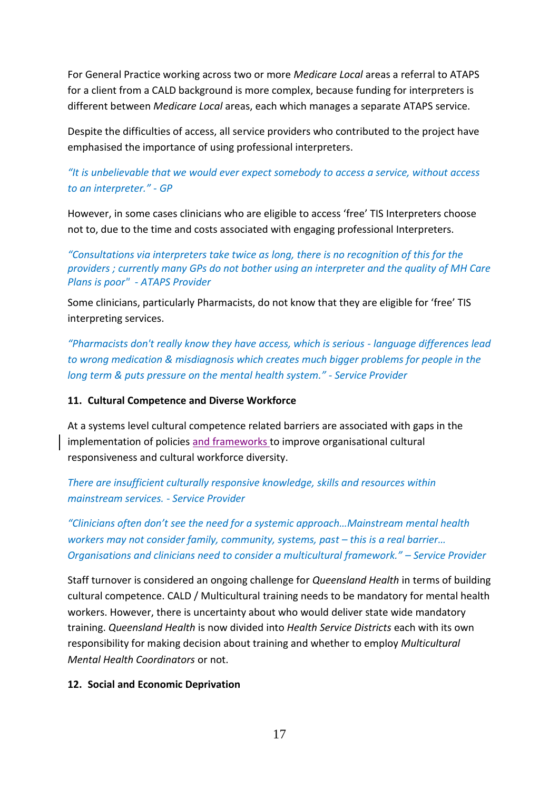For General Practice working across two or more *Medicare Local* areas a referral to ATAPS for a client from a CALD background is more complex, because funding for interpreters is different between *Medicare Local* areas, each which manages a separate ATAPS service.

Despite the difficulties of access, all service providers who contributed to the project have emphasised the importance of using professional interpreters.

## *"It is unbelievable that we would ever expect somebody to access a service, without access to an interpreter." - GP*

However, in some cases clinicians who are eligible to access 'free' TIS Interpreters choose not to, due to the time and costs associated with engaging professional Interpreters.

*"Consultations via interpreters take twice as long, there is no recognition of this for the providers ; currently many GPs do not bother using an interpreter and the quality of MH Care Plans is poor" - ATAPS Provider*

Some clinicians, particularly Pharmacists, do not know that they are eligible for 'free' TIS interpreting services.

*"Pharmacists don't really know they have access, which is serious - language differences lead to wrong medication & misdiagnosis which creates much bigger problems for people in the long term & puts pressure on the mental health system." - Service Provider*

#### **11. Cultural Competence and Diverse Workforce**

At a systems level cultural competence related barriers are associated with gaps in the implementation of policies and frameworks to improve organisational cultural responsiveness and cultural workforce diversity.

*There are insufficient culturally responsive knowledge, skills and resources within mainstream services. - Service Provider*

*"Clinicians often don't see the need for a systemic approach…Mainstream mental health workers may not consider family, community, systems, past – this is a real barrier... Organisations and clinicians need to consider a multicultural framework." – Service Provider*

Staff turnover is considered an ongoing challenge for *Queensland Health* in terms of building cultural competence. CALD / Multicultural training needs to be mandatory for mental health workers. However, there is uncertainty about who would deliver state wide mandatory training. *Queensland Health* is now divided into *Health Service Districts* each with its own responsibility for making decision about training and whether to employ *Multicultural Mental Health Coordinators* or not.

#### **12. Social and Economic Deprivation**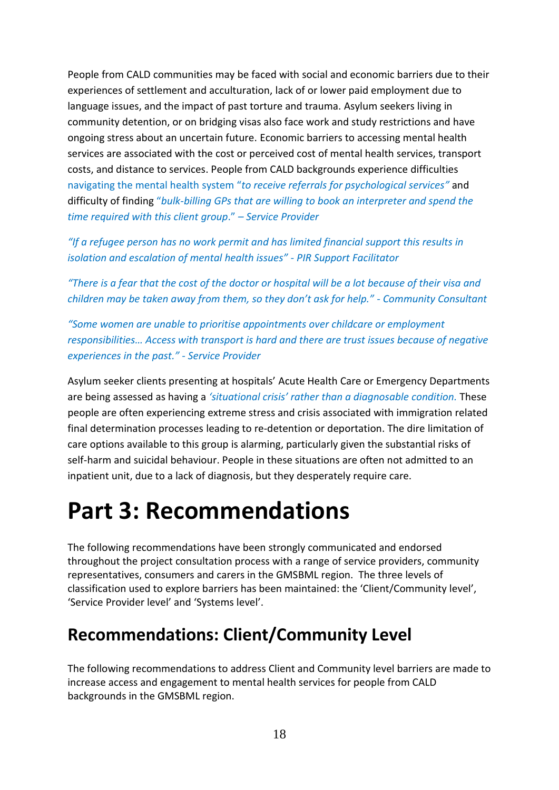People from CALD communities may be faced with social and economic barriers due to their experiences of settlement and acculturation, lack of or lower paid employment due to language issues, and the impact of past torture and trauma. Asylum seekers living in community detention, or on bridging visas also face work and study restrictions and have ongoing stress about an uncertain future. Economic barriers to accessing mental health services are associated with the cost or perceived cost of mental health services, transport costs, and distance to services. People from CALD backgrounds experience difficulties navigating the mental health system "*to receive referrals for psychological services"* and difficulty of finding "*bulk-billing GPs that are willing to book an interpreter and spend the time required with this client group*." *– Service Provider*

*"If a refugee person has no work permit and has limited financial support this results in isolation and escalation of mental health issues" - PIR Support Facilitator*

*"There is a fear that the cost of the doctor or hospital will be a lot because of their visa and children may be taken away from them, so they don't ask for help." - Community Consultant*

*"Some women are unable to prioritise appointments over childcare or employment responsibilities… Access with transport is hard and there are trust issues because of negative experiences in the past." - Service Provider*

Asylum seeker clients presenting at hospitals' Acute Health Care or Emergency Departments are being assessed as having a *'situational crisis' rather than a diagnosable condition.* These people are often experiencing extreme stress and crisis associated with immigration related final determination processes leading to re-detention or deportation. The dire limitation of care options available to this group is alarming, particularly given the substantial risks of self-harm and suicidal behaviour. People in these situations are often not admitted to an inpatient unit, due to a lack of diagnosis, but they desperately require care.

# **Part 3: Recommendations**

The following recommendations have been strongly communicated and endorsed throughout the project consultation process with a range of service providers, community representatives, consumers and carers in the GMSBML region. The three levels of classification used to explore barriers has been maintained: the 'Client/Community level', 'Service Provider level' and 'Systems level'.

# **Recommendations: Client/Community Level**

The following recommendations to address Client and Community level barriers are made to increase access and engagement to mental health services for people from CALD backgrounds in the GMSBML region.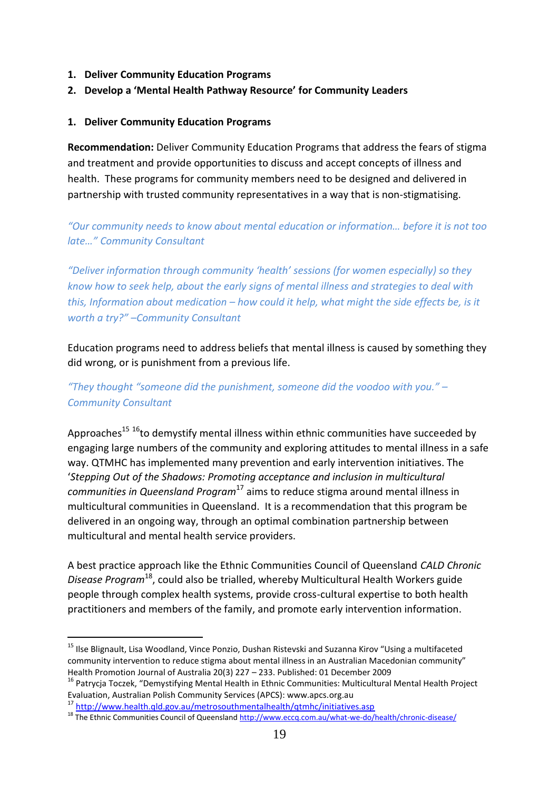- **1. Deliver Community Education Programs**
- **2. Develop a 'Mental Health Pathway Resource' for Community Leaders**

#### **1. Deliver Community Education Programs**

**Recommendation:** Deliver Community Education Programs that address the fears of stigma and treatment and provide opportunities to discuss and accept concepts of illness and health. These programs for community members need to be designed and delivered in partnership with trusted community representatives in a way that is non-stigmatising.

*"Our community needs to know about mental education or information… before it is not too late…" Community Consultant*

*"Deliver information through community 'health' sessions (for women especially) so they know how to seek help, about the early signs of mental illness and strategies to deal with this, Information about medication – how could it help, what might the side effects be, is it worth a try?" –Community Consultant*

Education programs need to address beliefs that mental illness is caused by something they did wrong, or is punishment from a previous life.

*"They thought "someone did the punishment, someone did the voodoo with you." – Community Consultant*

Approaches<sup>15 16</sup>to demystify mental illness within ethnic communities have succeeded by engaging large numbers of the community and exploring attitudes to mental illness in a safe way. QTMHC has implemented many prevention and early intervention initiatives. The '*Stepping Out of the Shadows: Promoting acceptance and inclusion in multicultural communities in Queensland Program*<sup>17</sup> aims to reduce stigma around mental illness in multicultural communities in Queensland. It is a recommendation that this program be delivered in an ongoing way, through an optimal combination partnership between multicultural and mental health service providers.

A best practice approach like the Ethnic Communities Council of Queensland *CALD Chronic Disease Program*<sup>18</sup>, could also be trialled, whereby Multicultural Health Workers guide people through complex health systems, provide cross-cultural expertise to both health practitioners and members of the family, and promote early intervention information.

-

<sup>&</sup>lt;sup>15</sup> Ilse Blignault, Lisa Woodland, Vince Ponzio, Dushan Ristevski and Suzanna Kirov "Using a multifaceted community intervention to reduce stigma about mental illness in an Australian Macedonian community" Health Promotion Journal of Australia 20(3) 227 – 233. Published: 01 December 2009

<sup>&</sup>lt;sup>16</sup> Patrycia Toczek, "Demystifying Mental Health in Ethnic Communities: Multicultural Mental Health Project Evaluation, Australian Polish Community Services (APCS): www.apcs.org.au

<sup>17</sup> <http://www.health.qld.gov.au/metrosouthmentalhealth/qtmhc/initiatives.asp>

<sup>&</sup>lt;sup>18</sup> The Ethnic Communities Council of Queenslan[d http://www.eccq.com.au/what-we-do/health/chronic-disease/](http://www.eccq.com.au/what-we-do/health/chronic-disease/)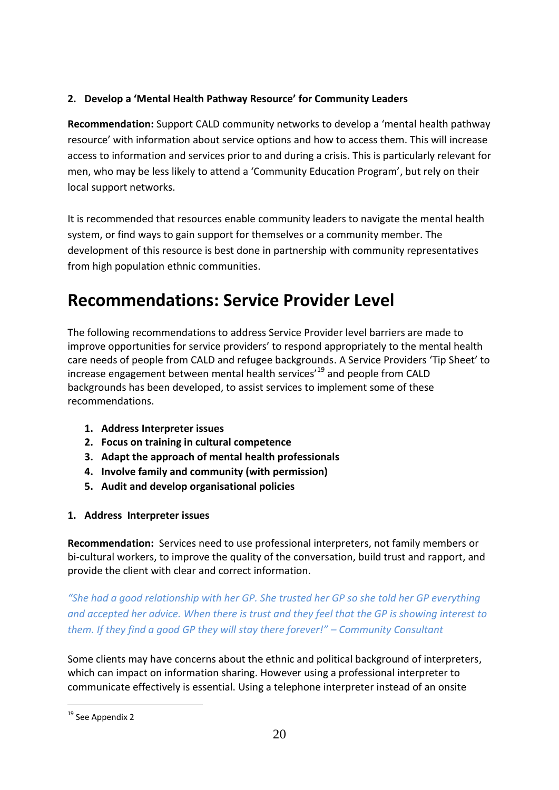## **2. Develop a 'Mental Health Pathway Resource' for Community Leaders**

**Recommendation:** Support CALD community networks to develop a 'mental health pathway resource' with information about service options and how to access them. This will increase access to information and services prior to and during a crisis. This is particularly relevant for men, who may be less likely to attend a 'Community Education Program', but rely on their local support networks.

It is recommended that resources enable community leaders to navigate the mental health system, or find ways to gain support for themselves or a community member. The development of this resource is best done in partnership with community representatives from high population ethnic communities.

# **Recommendations: Service Provider Level**

The following recommendations to address Service Provider level barriers are made to improve opportunities for service providers' to respond appropriately to the mental health care needs of people from CALD and refugee backgrounds. A Service Providers 'Tip Sheet' to increase engagement between mental health services<sup>'19</sup> and people from CALD backgrounds has been developed, to assist services to implement some of these recommendations.

- **1. Address Interpreter issues**
- **2. Focus on training in cultural competence**
- **3. Adapt the approach of mental health professionals**
- **4. Involve family and community (with permission)**
- **5. Audit and develop organisational policies**
- **1. Address Interpreter issues**

**Recommendation:** Services need to use professional interpreters, not family members or bi-cultural workers, to improve the quality of the conversation, build trust and rapport, and provide the client with clear and correct information.

*"She had a good relationship with her GP. She trusted her GP so she told her GP everything and accepted her advice. When there is trust and they feel that the GP is showing interest to them. If they find a good GP they will stay there forever!" – Community Consultant*

Some clients may have concerns about the ethnic and political background of interpreters, which can impact on information sharing. However using a professional interpreter to communicate effectively is essential. Using a telephone interpreter instead of an onsite

<sup>-</sup><sup>19</sup> See Appendix 2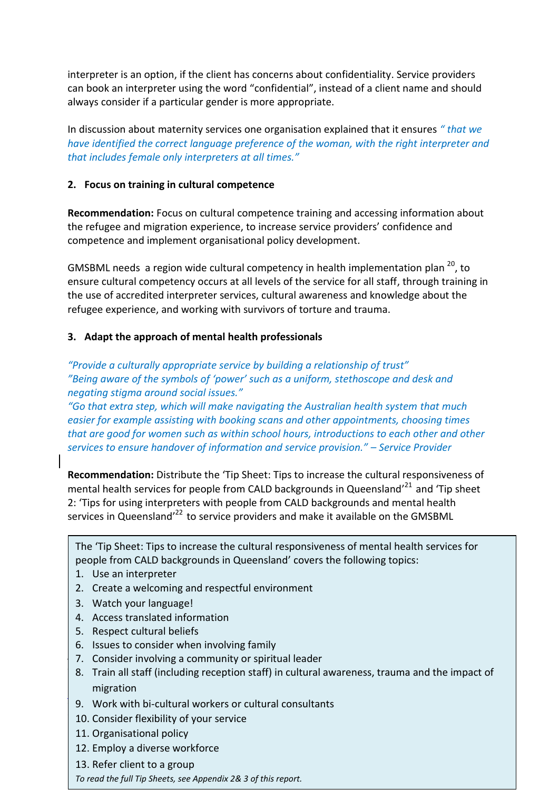interpreter is an option, if the client has concerns about confidentiality. Service providers can book an interpreter using the word "confidential", instead of a client name and should always consider if a particular gender is more appropriate.

In discussion about maternity services one organisation explained that it ensures *" that we have identified the correct language preference of the woman, with the right interpreter and that includes female only interpreters at all times."*

#### **2. Focus on training in cultural competence**

**Recommendation:** Focus on cultural competence training and accessing information about the refugee and migration experience, to increase service providers' confidence and competence and implement organisational policy development.

GMSBML needs a region wide cultural competency in health implementation plan <sup>20</sup>, to ensure cultural competency occurs at all levels of the service for all staff, through training in the use of accredited interpreter services, cultural awareness and knowledge about the refugee experience, and working with survivors of torture and trauma.

#### **3. Adapt the approach of mental health professionals**

*"Provide a culturally appropriate service by building a relationship of trust" "Being aware of the symbols of 'power' such as a uniform, stethoscope and desk and negating stigma around social issues."*

*"Go that extra step, which will make navigating the Australian health system that much easier for example assisting with booking scans and other appointments, choosing times that are good for women such as within school hours, introductions to each other and other services to ensure handover of information and service provision." – Service Provider*

**Recommendation:** Distribute the 'Tip Sheet: Tips to increase the cultural responsiveness of mental health services for people from CALD backgrounds in Queensland'<sup>21</sup> and 'Tip sheet 2: 'Tips for using interpreters with people from CALD backgrounds and mental health services in Queensland<sup>'22</sup> to service providers and make it available on the GMSBML

The 'Tip Sheet: Tips to increase the cultural responsiveness of mental health services for people from CALD backgrounds in Queensland' covers the following topics:

1. Use an interpreter

 $\overline{\phantom{a}}$ 

- 2. Create a welcoming and respectful environment
- 3. Watch your language!
- 4. Access translated information
- 5. Respect cultural beliefs
- 6. Issues to consider when involving family
- 7. Consider involving a community or spiritual leader
- 8. Train all staff (including reception staff) in cultural awareness, trauma and the impact of and Medical Research Council http://www.healthissuescentre.org.au/documents/items/items/2008/04/204593-04/204593-04/204593-04/204593-04/204593-04/204593-04/204593-04/204593-04/204593-04/204593-04/204593-04/204593-04/20459  $\vert$  migration
- $\vert$  9. Work with bi-cultural workers or cultural consultants
- $\vert$  10. Consider flexibility of your service
	- 11. Organisational policy
	- 12. Employ a diverse workforce
	- 13. Refer client to a group

*To read the full Tip Sheets, see Appendix 2& 3 of this report.*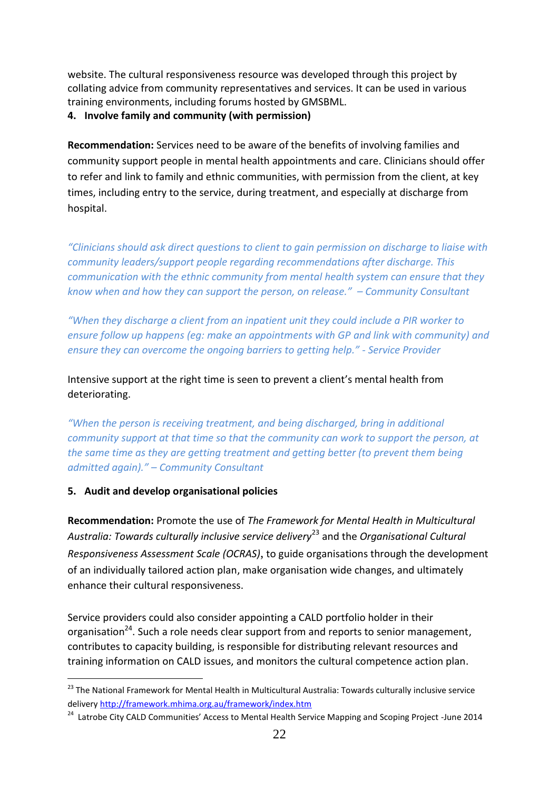website. The cultural responsiveness resource was developed through this project by collating advice from community representatives and services. It can be used in various training environments, including forums hosted by GMSBML.

**4. Involve family and community (with permission)**

**Recommendation:** Services need to be aware of the benefits of involving families and community support people in mental health appointments and care. Clinicians should offer to refer and link to family and ethnic communities, with permission from the client, at key times, including entry to the service, during treatment, and especially at discharge from hospital.

*"Clinicians should ask direct questions to client to gain permission on discharge to liaise with community leaders/support people regarding recommendations after discharge. This communication with the ethnic community from mental health system can ensure that they know when and how they can support the person, on release." – Community Consultant*

*"When they discharge a client from an inpatient unit they could include a PIR worker to ensure follow up happens (eg: make an appointments with GP and link with community) and ensure they can overcome the ongoing barriers to getting help." - Service Provider*

Intensive support at the right time is seen to prevent a client's mental health from deteriorating.

*"When the person is receiving treatment, and being discharged, bring in additional community support at that time so that the community can work to support the person, at the same time as they are getting treatment and getting better (to prevent them being admitted again)." – Community Consultant*

## **5. Audit and develop organisational policies**

 $\overline{a}$ 

**Recommendation:** Promote the use of *The Framework for Mental Health in Multicultural Australia: Towards culturally inclusive service delivery*<sup>23</sup> and the *[Organisational Cultural](https://mhima.websurvey.net.au/ocras/registration/)  [Responsiveness Assessment Scale \(OCRAS\)](https://mhima.websurvey.net.au/ocras/registration/)*, to guide organisations through the development of an individually tailored action plan, make organisation wide changes, and ultimately enhance their cultural responsiveness.

Service providers could also consider appointing a CALD portfolio holder in their organisation<sup>24</sup>. Such a role needs clear support from and reports to senior management, contributes to capacity building, is responsible for distributing relevant resources and training information on CALD issues, and monitors the cultural competence action plan.

<sup>&</sup>lt;sup>23</sup> The National Framework for Mental Health in Multicultural Australia: Towards culturally inclusive service delivery <http://framework.mhima.org.au/framework/index.htm>

<sup>&</sup>lt;sup>24</sup> Latrobe City CALD Communities' Access to Mental Health Service Mapping and Scoping Project -June 2014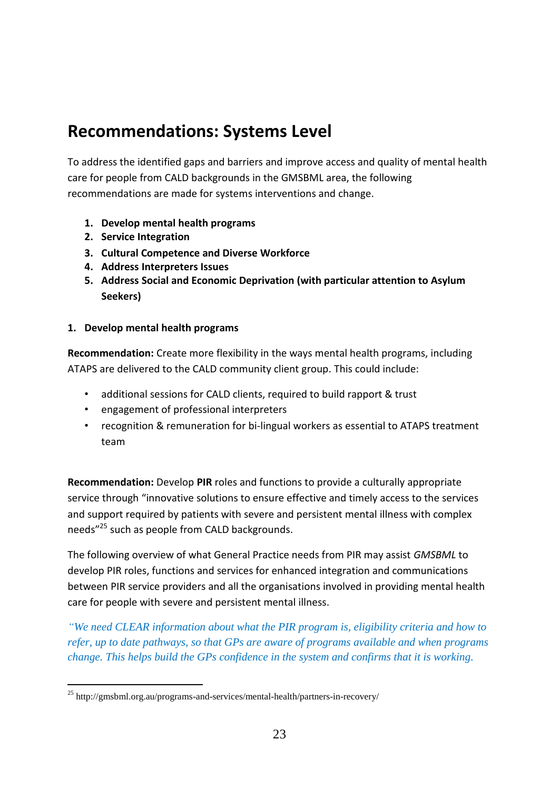# **Recommendations: Systems Level**

To address the identified gaps and barriers and improve access and quality of mental health care for people from CALD backgrounds in the GMSBML area, the following recommendations are made for systems interventions and change.

- **1. Develop mental health programs**
- **2. Service Integration**
- **3. Cultural Competence and Diverse Workforce**
- **4. Address Interpreters Issues**
- **5. Address Social and Economic Deprivation (with particular attention to Asylum Seekers)**

#### **1. Develop mental health programs**

-

**Recommendation:** Create more flexibility in the ways mental health programs, including ATAPS are delivered to the CALD community client group. This could include:

- additional sessions for CALD clients, required to build rapport & trust
- engagement of professional interpreters
- recognition & remuneration for bi-lingual workers as essential to ATAPS treatment team

**Recommendation:** Develop **PIR** roles and functions to provide a culturally appropriate service through "innovative solutions to ensure effective and timely access to the services and support required by patients with severe and persistent mental illness with complex needs"<sup>25</sup> such as people from CALD backgrounds.

The following overview of what General Practice needs from PIR may assist *GMSBML* to develop PIR roles, functions and services for enhanced integration and communications between PIR service providers and all the organisations involved in providing mental health care for people with severe and persistent mental illness.

*"We need CLEAR information about what the PIR program is, eligibility criteria and how to refer, up to date pathways, so that GPs are aware of programs available and when programs change. This helps build the GPs confidence in the system and confirms that it is working.*

<sup>&</sup>lt;sup>25</sup> http://gmsbml.org.au/programs-and-services/mental-health/partners-in-recovery/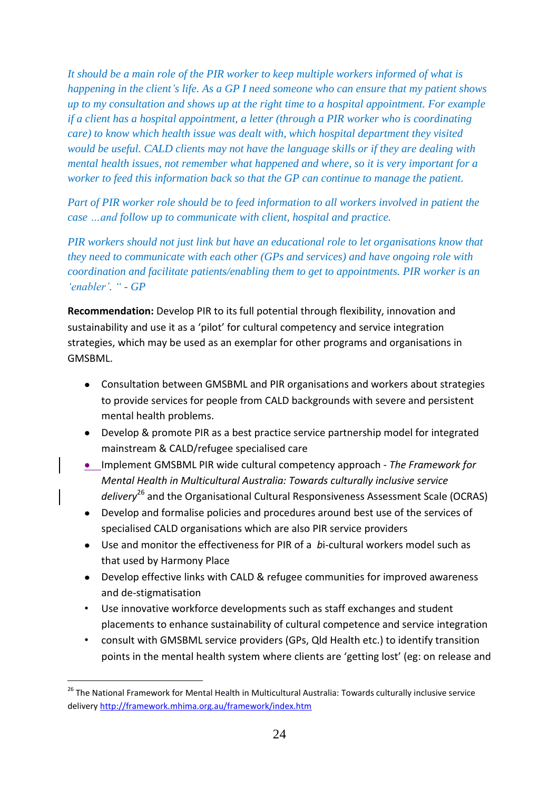*It should be a main role of the PIR worker to keep multiple workers informed of what is happening in the client"s life. As a GP I need someone who can ensure that my patient shows up to my consultation and shows up at the right time to a hospital appointment. For example if a client has a hospital appointment, a letter (through a PIR worker who is coordinating care) to know which health issue was dealt with, which hospital department they visited would be useful. CALD clients may not have the language skills or if they are dealing with mental health issues, not remember what happened and where, so it is very important for a worker to feed this information back so that the GP can continue to manage the patient.*

*Part of PIR worker role should be to feed information to all workers involved in patient the case …and follow up to communicate with client, hospital and practice.*

*PIR workers should not just link but have an educational role to let organisations know that they need to communicate with each other (GPs and services) and have ongoing role with coordination and facilitate patients/enabling them to get to appointments. PIR worker is an "enabler". " - GP*

**Recommendation:** Develop PIR to its full potential through flexibility, innovation and sustainability and use it as a 'pilot' for cultural competency and service integration strategies, which may be used as an exemplar for other programs and organisations in GMSBML.

- Consultation between GMSBML and PIR organisations and workers about strategies to provide services for people from CALD backgrounds with severe and persistent mental health problems.
- Develop & promote PIR as a best practice service partnership model for integrated mainstream & CALD/refugee specialised care
- Implement GMSBML PIR wide cultural competency approach *The Framework for Mental Health in Multicultural Australia: Towards culturally inclusive service delivery*<sup>26</sup> and the [Organisational Cultural Responsiveness Assessment Scale \(OCRAS\)](https://mhima.websurvey.net.au/ocras/registration/)
- Develop and formalise policies and procedures around best use of the services of specialised CALD organisations which are also PIR service providers
- Use and monitor the effectiveness for PIR of a *b*i-cultural workers model such as that used by Harmony Place
- Develop effective links with CALD & refugee communities for improved awareness and de-stigmatisation
- Use innovative workforce developments such as staff exchanges and student placements to enhance sustainability of cultural competence and service integration
- consult with GMSBML service providers (GPs, Qld Health etc.) to identify transition points in the mental health system where clients are 'getting lost' (eg: on release and

-

<sup>&</sup>lt;sup>26</sup> The National Framework for Mental Health in Multicultural Australia: Towards culturally inclusive service delivery <http://framework.mhima.org.au/framework/index.htm>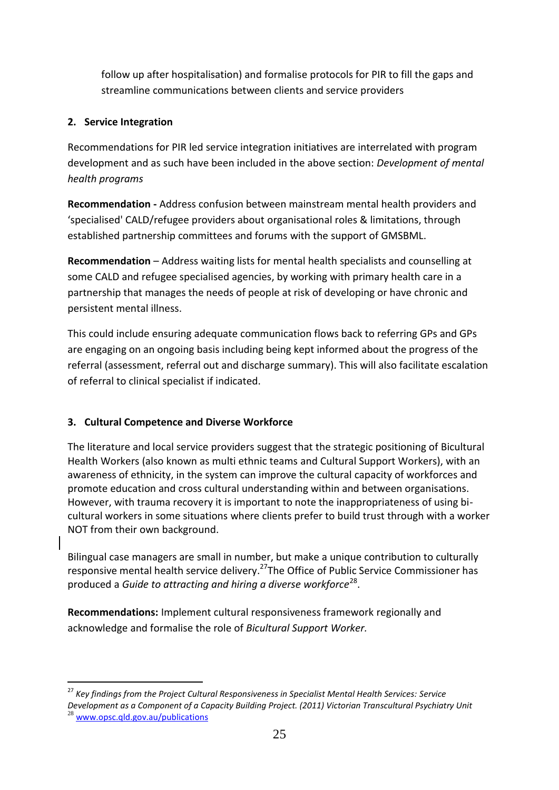follow up after hospitalisation) and formalise protocols for PIR to fill the gaps and streamline communications between clients and service providers

## **2. Service Integration**

-

Recommendations for PIR led service integration initiatives are interrelated with program development and as such have been included in the above section: *Development of mental health programs* 

**Recommendation -** Address confusion between mainstream mental health providers and 'specialised' CALD/refugee providers about organisational roles & limitations, through established partnership committees and forums with the support of GMSBML.

**Recommendation** – Address waiting lists for mental health specialists and counselling at some CALD and refugee specialised agencies, by working with primary health care in a partnership that manages the needs of people at risk of developing or have chronic and persistent mental illness.

This could include ensuring adequate communication flows back to referring GPs and GPs are engaging on an ongoing basis including being kept informed about the progress of the referral (assessment, referral out and discharge summary). This will also facilitate escalation of referral to clinical specialist if indicated.

# **3. Cultural Competence and Diverse Workforce**

The literature and local service providers suggest that the strategic positioning of Bicultural Health Workers (also known as multi ethnic teams and Cultural Support Workers), with an awareness of ethnicity, in the system can improve the cultural capacity of workforces and promote education and cross cultural understanding within and between organisations. However, with trauma recovery it is important to note the inappropriateness of using bicultural workers in some situations where clients prefer to build trust through with a worker NOT from their own background.

Bilingual case managers are small in number, but make a unique contribution to culturally responsive mental health service delivery.<sup>27</sup>The Office of Public Service Commissioner has produced a Guide to attracting and hiring a diverse workforce<sup>28</sup>.

**Recommendations:** Implement cultural responsiveness framework regionally and acknowledge and formalise the role of *Bicultural Support Worker.*

<sup>27</sup> *Key findings from the Project Cultural Responsiveness in Specialist Mental Health Services: Service Development as a Component of a Capacity Building Project. (2011) Victorian Transcultural Psychiatry Unit* <sup>28</sup> [www.opsc.qld.gov.au/publications](http://www.qld.gov.au/web/community-engagement/guides-factsheets/cald-communities/introduction/www.opsc.qld.gov.au/publications)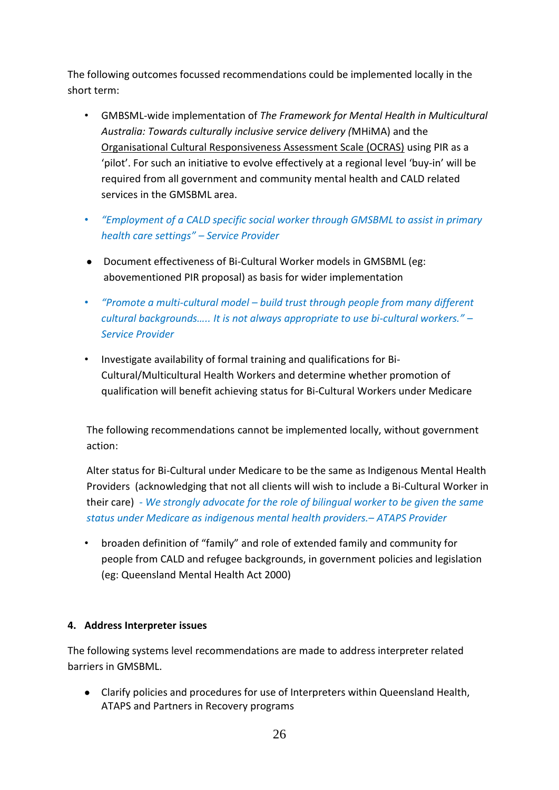The following outcomes focussed recommendations could be implemented locally in the short term:

- GMBSML-wide implementation of *The Framework for Mental Health in Multicultural Australia: Towards culturally inclusive service delivery (*MHiMA) and the [Organisational Cultural Responsiveness Assessment Scale \(OCRAS\)](https://mhima.websurvey.net.au/ocras/registration/) using PIR as a 'pilot'. For such an initiative to evolve effectively at a regional level 'buy-in' will be required from all government and community mental health and CALD related services in the GMSBML area.
- *"Employment of a CALD specific social worker through GMSBML to assist in primary health care settings" – Service Provider*
- Document effectiveness of Bi-Cultural Worker models in GMSBML (eg: abovementioned PIR proposal) as basis for wider implementation
- *"Promote a multi-cultural model – build trust through people from many different cultural backgrounds….. It is not always appropriate to use bi-cultural workers." – Service Provider*
- Investigate availability of formal training and qualifications for Bi-Cultural/Multicultural Health Workers and determine whether promotion of qualification will benefit achieving status for Bi-Cultural Workers under Medicare

The following recommendations cannot be implemented locally, without government action:

Alter status for Bi-Cultural under Medicare to be the same as Indigenous Mental Health Providers (acknowledging that not all clients will wish to include a Bi-Cultural Worker in their care) *- We strongly advocate for the role of bilingual worker to be given the same status under Medicare as indigenous mental health providers.– ATAPS Provider*

• broaden definition of "family" and role of extended family and community for people from CALD and refugee backgrounds, in government policies and legislation (eg: Queensland Mental Health Act 2000)

#### **4. Address Interpreter issues**

The following systems level recommendations are made to address interpreter related barriers in GMSBML.

Clarify policies and procedures for use of Interpreters within Queensland Health, ATAPS and Partners in Recovery programs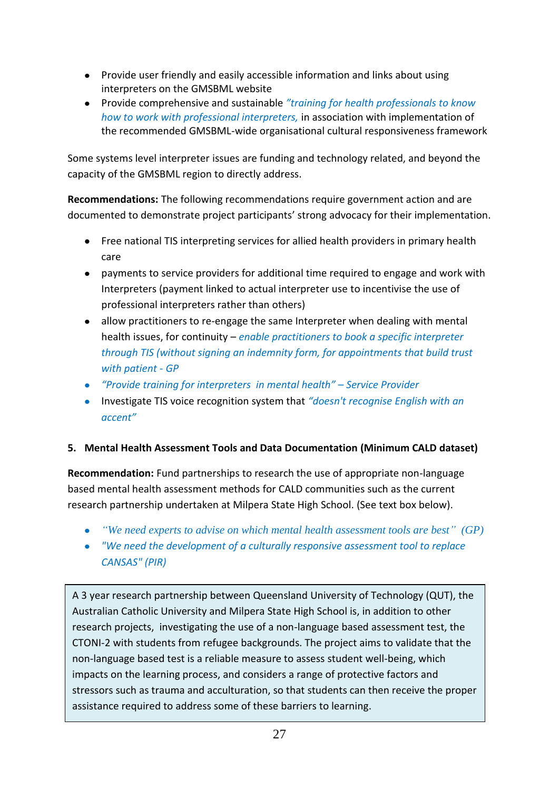- Provide user friendly and easily accessible information and links about using interpreters on the GMSBML website
- Provide comprehensive and sustainable *"training for health professionals to know how to work with professional interpreters,* in association with implementation of the recommended GMSBML-wide organisational cultural responsiveness framework

Some systems level interpreter issues are funding and technology related, and beyond the capacity of the GMSBML region to directly address.

**Recommendations:** The following recommendations require government action and are documented to demonstrate project participants' strong advocacy for their implementation.

- Free national TIS interpreting services for allied health providers in primary health care
- payments to service providers for additional time required to engage and work with Interpreters (payment linked to actual interpreter use to incentivise the use of professional interpreters rather than others)
- allow practitioners to re-engage the same Interpreter when dealing with mental health issues, for continuity – *enable practitioners to book a specific interpreter through TIS (without signing an indemnity form, for appointments that build trust with patient - GP*
- *"Provide training for interpreters in mental health" – Service Provider*
- Investigate TIS voice recognition system that *"doesn't recognise English with an accent"*

## **5. Mental Health Assessment Tools and Data Documentation (Minimum CALD dataset)**

**Recommendation:** Fund partnerships to research the use of appropriate non-language based mental health assessment methods for CALD communities such as the current research partnership undertaken at Milpera State High School. (See text box below).

- *"We need experts to advise on which mental health assessment tools are best" (GP)*
- *"We need the development of a culturally responsive assessment tool to replace CANSAS" (PIR)*

A 3 year research partnership between Queensland University of Technology (QUT), the Australian Catholic University and Milpera State High School is, in addition to other research projects, investigating the use of a non-language based assessment test, the CTONI-2 with students from refugee backgrounds. The project aims to validate that the non-language based test is a reliable measure to assess student well-being, which impacts on the learning process, and considers a range of protective factors and stressors such as trauma and acculturation, so that students can then receive the proper assistance required to address some of these barriers to learning.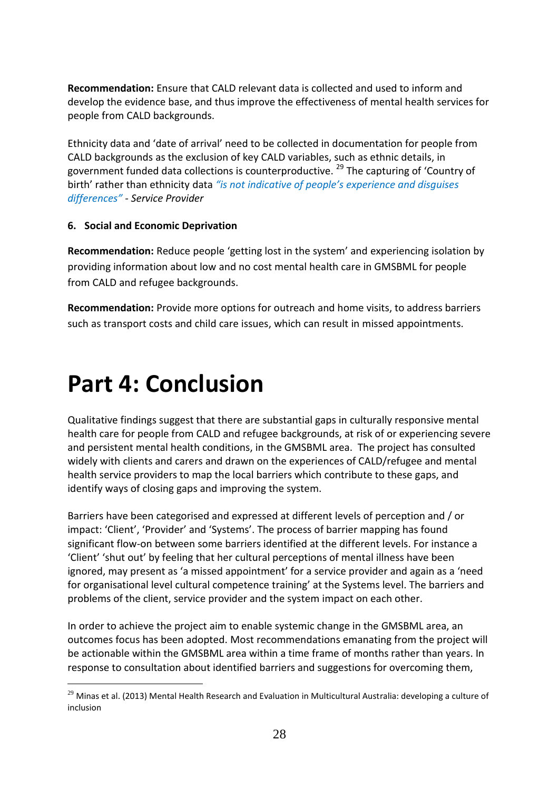**Recommendation:** Ensure that CALD relevant data is collected and used to inform and develop the evidence base, and thus improve the effectiveness of mental health services for people from CALD backgrounds.

Ethnicity data and 'date of arrival' need to be collected in documentation for people from CALD backgrounds as the exclusion of key CALD variables, such as ethnic details, in government funded data collections is counterproductive.  $^{29}$  The capturing of 'Country of birth' rather than ethnicity data *"is not indicative of people's experience and disguises differences" - Service Provider*

#### **6. Social and Economic Deprivation**

**Recommendation:** Reduce people 'getting lost in the system' and experiencing isolation by providing information about low and no cost mental health care in GMSBML for people from CALD and refugee backgrounds.

**Recommendation:** Provide more options for outreach and home visits, to address barriers such as transport costs and child care issues, which can result in missed appointments.

# **Part 4: Conclusion**

-

Qualitative findings suggest that there are substantial gaps in culturally responsive mental health care for people from CALD and refugee backgrounds, at risk of or experiencing severe and persistent mental health conditions, in the GMSBML area. The project has consulted widely with clients and carers and drawn on the experiences of CALD/refugee and mental health service providers to map the local barriers which contribute to these gaps, and identify ways of closing gaps and improving the system.

Barriers have been categorised and expressed at different levels of perception and / or impact: 'Client', 'Provider' and 'Systems'. The process of barrier mapping has found significant flow-on between some barriers identified at the different levels. For instance a 'Client' 'shut out' by feeling that her cultural perceptions of mental illness have been ignored, may present as 'a missed appointment' for a service provider and again as a 'need for organisational level cultural competence training' at the Systems level. The barriers and problems of the client, service provider and the system impact on each other.

In order to achieve the project aim to enable systemic change in the GMSBML area, an outcomes focus has been adopted. Most recommendations emanating from the project will be actionable within the GMSBML area within a time frame of months rather than years. In response to consultation about identified barriers and suggestions for overcoming them,

 $^{29}$  Minas et al. (2013) Mental Health Research and Evaluation in Multicultural Australia: developing a culture of inclusion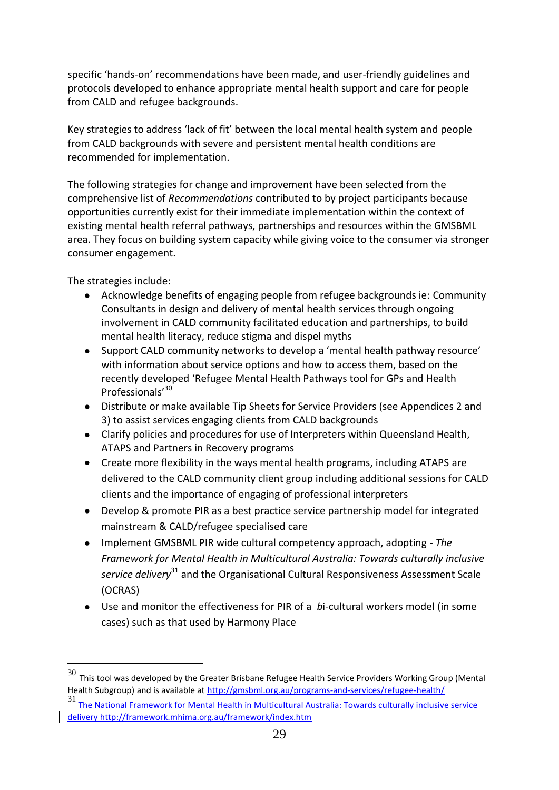specific 'hands-on' recommendations have been made, and user-friendly guidelines and protocols developed to enhance appropriate mental health support and care for people from CALD and refugee backgrounds.

Key strategies to address 'lack of fit' between the local mental health system and people from CALD backgrounds with severe and persistent mental health conditions are recommended for implementation.

The following strategies for change and improvement have been selected from the comprehensive list of *Recommendations* contributed to by project participants because opportunities currently exist for their immediate implementation within the context of existing mental health referral pathways, partnerships and resources within the GMSBML area. They focus on building system capacity while giving voice to the consumer via stronger consumer engagement.

The strategies include:

-

- Acknowledge benefits of engaging people from refugee backgrounds ie: Community  $\bullet$ Consultants in design and delivery of mental health services through ongoing involvement in CALD community facilitated education and partnerships, to build mental health literacy, reduce stigma and dispel myths
- Support CALD community networks to develop a 'mental health pathway resource' with information about service options and how to access them, based on the recently developed 'Refugee Mental Health Pathways tool for GPs and Health Professionals'<sup>30</sup>
- Distribute or make available Tip Sheets for Service Providers (see Appendices 2 and 3) to assist services engaging clients from CALD backgrounds
- Clarify policies and procedures for use of Interpreters within Queensland Health, ATAPS and Partners in Recovery programs
- Create more flexibility in the ways mental health programs, including ATAPS are delivered to the CALD community client group including additional sessions for CALD clients and the importance of engaging of professional interpreters
- Develop & promote PIR as a best practice service partnership model for integrated mainstream & CALD/refugee specialised care
- Implement GMSBML PIR wide cultural competency approach, adopting *The*   $\bullet$ *Framework for Mental Health in Multicultural Australia: Towards culturally inclusive service delivery*<sup>31</sup> and the [Organisational Cultural Responsiveness Assessment Scale](https://mhima.websurvey.net.au/ocras/registration/)  [\(OCRAS\)](https://mhima.websurvey.net.au/ocras/registration/)
- Use and monitor the effectiveness for PIR of a *b*i-cultural workers model (in some cases) such as that used by Harmony Place

<sup>31</sup> The National Framework for Mental Health in Multicultural Australia: Towards culturally inclusive service deliver[y http://framework.mhima.org.au/framework/index.htm](http://framework.mhima.org.au/framework/index.htm)

 $30$  This tool was developed by the Greater Brisbane Refugee Health Service Providers Working Group (Mental Health Subgroup) and is available at <http://gmsbml.org.au/programs-and-services/refugee-health/>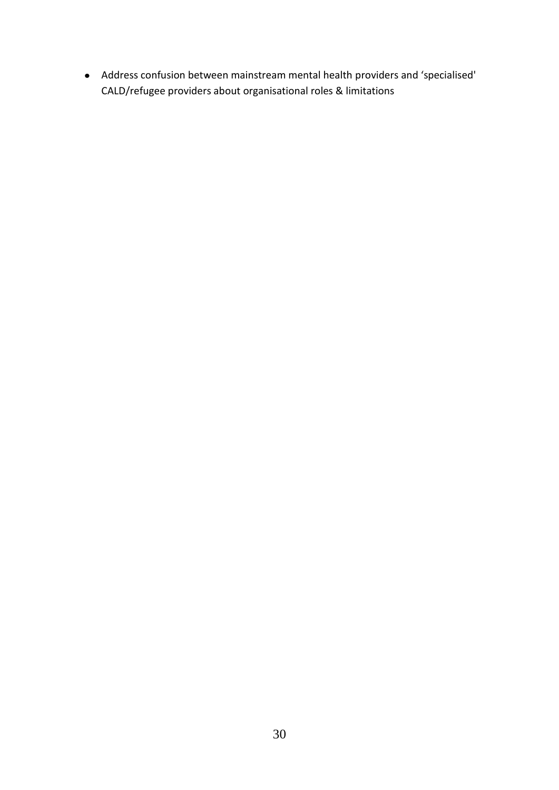Address confusion between mainstream mental health providers and 'specialised' CALD/refugee providers about organisational roles & limitations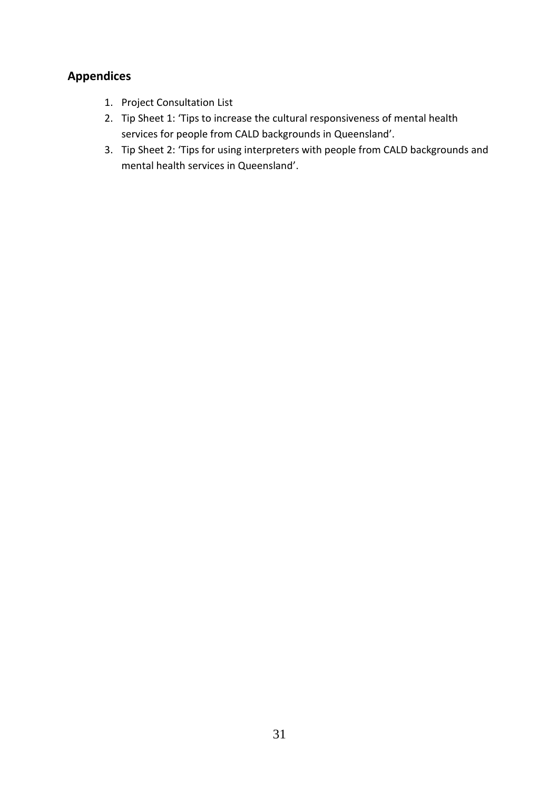# **Appendices**

- 1. Project Consultation List
- 2. Tip Sheet 1: 'Tips to increase the cultural responsiveness of mental health services for people from CALD backgrounds in Queensland'.
- 3. Tip Sheet 2: 'Tips for using interpreters with people from CALD backgrounds and mental health services in Queensland'.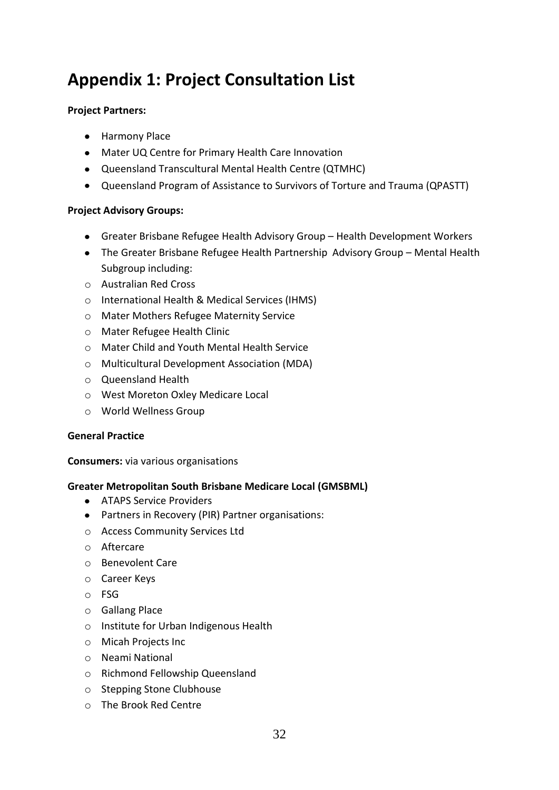# **Appendix 1: Project Consultation List**

### **Project Partners:**

- Harmony Place
- Mater UQ Centre for Primary Health Care Innovation
- Queensland Transcultural Mental Health Centre (QTMHC)
- Queensland Program of Assistance to Survivors of Torture and Trauma (QPASTT)

#### **Project Advisory Groups:**

- Greater Brisbane Refugee Health Advisory Group Health Development Workers
- The Greater Brisbane Refugee Health Partnership Advisory Group Mental Health Subgroup including:
- o Australian Red Cross
- o International Health & Medical Services (IHMS)
- o Mater Mothers Refugee Maternity Service
- o Mater Refugee Health Clinic
- o Mater Child and Youth Mental Health Service
- o Multicultural Development Association (MDA)
- o Queensland Health
- o West Moreton Oxley Medicare Local
- o World Wellness Group

#### **General Practice**

**Consumers:** via various organisations

#### **Greater Metropolitan South Brisbane Medicare Local (GMSBML)**

- ATAPS Service Providers
- Partners in Recovery (PIR) Partner organisations:
- o Access Community Services Ltd
- o Aftercare
- o Benevolent Care
- o Career Keys
- o FSG
- o Gallang Place
- o Institute for Urban Indigenous Health
- o Micah Projects Inc
- o Neami National
- o Richmond Fellowship Queensland
- o Stepping Stone Clubhouse
- o The Brook Red Centre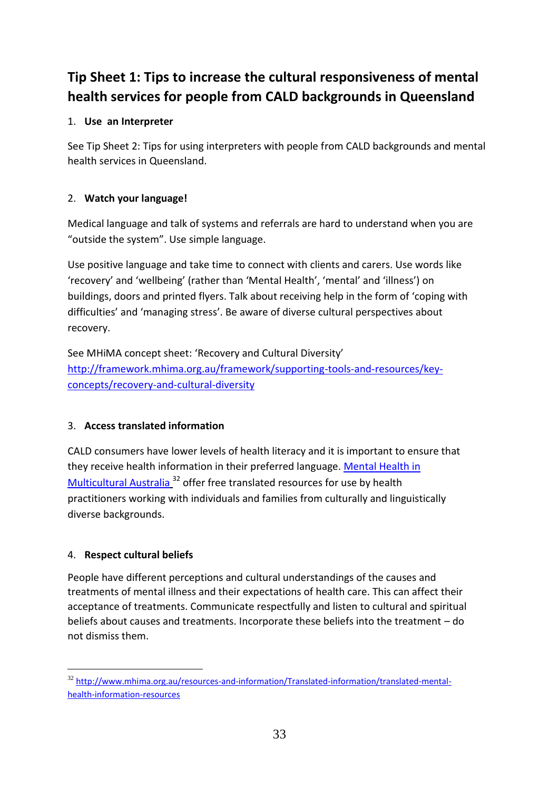# **Tip Sheet 1: Tips to increase the cultural responsiveness of mental health services for people from CALD backgrounds in Queensland**

# 1. **Use an Interpreter**

See Tip Sheet 2: Tips for using interpreters with people from CALD backgrounds and mental health services in Queensland.

## 2. **Watch your language!**

Medical language and talk of systems and referrals are hard to understand when you are "outside the system". Use simple language.

Use positive language and take time to connect with clients and carers. Use words like 'recovery' and 'wellbeing' (rather than 'Mental Health', 'mental' and 'illness') on buildings, doors and printed flyers. Talk about receiving help in the form of 'coping with difficulties' and 'managing stress'. Be aware of diverse cultural perspectives about recovery.

See MHiMA concept sheet: 'Recovery and Cultural Diversity' [http://framework.mhima.org.au/framework/supporting-tools-and-resources/key](http://framework.mhima.org.au/framework/supporting-tools-and-resources/key-concepts/recovery-and-cultural-diversity)[concepts/recovery-and-cultural-diversity](http://framework.mhima.org.au/framework/supporting-tools-and-resources/key-concepts/recovery-and-cultural-diversity)

## 3. **Access translated information**

CALD consumers have lower levels of health literacy and it is important to ensure that they receive health information in their preferred language. [Mental Health in](http://www.mhima.org.au/resources-and-information/Translated-information/translated-mental-health-information-resources)  [Multicultural Australia](http://www.mhima.org.au/resources-and-information/Translated-information/translated-mental-health-information-resources)<sup>32</sup> offer free translated resources for use by health practitioners working with individuals and families from culturally and linguistically diverse backgrounds.

## 4. **Respect cultural beliefs**

People have different perceptions and cultural understandings of the causes and treatments of mental illness and their expectations of health care. This can affect their acceptance of treatments. Communicate respectfully and listen to cultural and spiritual beliefs about causes and treatments. Incorporate these beliefs into the treatment – do not dismiss them.

32 [http://www.mhima.org.au/resources-and-information/Translated-information/translated-mental](http://www.mhima.org.au/resources-and-information/Translated-information/translated-mental-health-information-resources)[health-information-resources](http://www.mhima.org.au/resources-and-information/Translated-information/translated-mental-health-information-resources)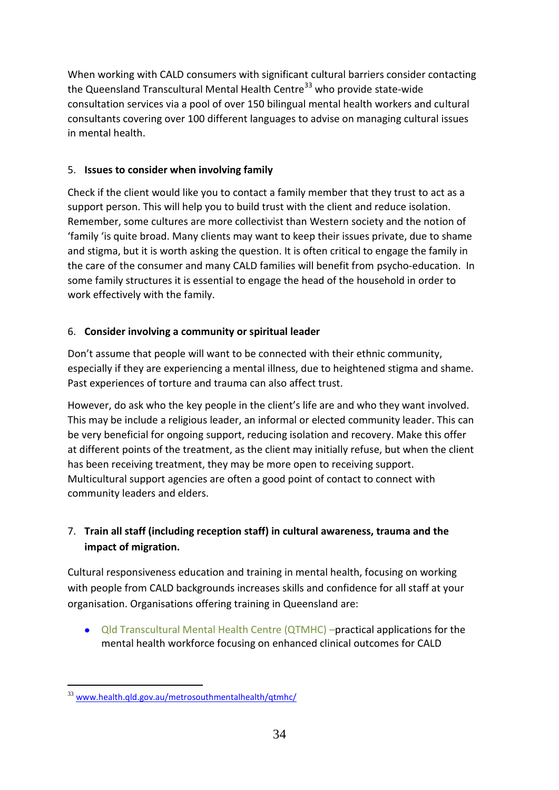When working with CALD consumers with significant cultural barriers consider contacting the Queensland Transcultural Mental Health Centre<sup>33</sup> who provide state-wide consultation services via a pool of over 150 bilingual mental health workers and cultural consultants covering over 100 different languages to advise on managing cultural issues in mental health.

## 5. **Issues to consider when involving family**

Check if the client would like you to contact a family member that they trust to act as a support person. This will help you to build trust with the client and reduce isolation. Remember, some cultures are more collectivist than Western society and the notion of 'family 'is quite broad. Many clients may want to keep their issues private, due to shame and stigma, but it is worth asking the question. It is often critical to engage the family in the care of the consumer and many CALD families will benefit from psycho-education. In some family structures it is essential to engage the head of the household in order to work effectively with the family.

## 6. **Consider involving a community or spiritual leader**

Don't assume that people will want to be connected with their ethnic community, especially if they are experiencing a mental illness, due to heightened stigma and shame. Past experiences of torture and trauma can also affect trust.

However, do ask who the key people in the client's life are and who they want involved. This may be include a religious leader, an informal or elected community leader. This can be very beneficial for ongoing support, reducing isolation and recovery. Make this offer at different points of the treatment, as the client may initially refuse, but when the client has been receiving treatment, they may be more open to receiving support. Multicultural support agencies are often a good point of contact to connect with community leaders and elders.

# 7. **Train all staff (including reception staff) in cultural awareness, trauma and the impact of migration.**

Cultural responsiveness education and training in mental health, focusing on working with people from CALD backgrounds increases skills and confidence for all staff at your organisation. Organisations offering training in Queensland are:

 $\bullet$ Qld Transcultural Mental Health Centre (QTMHC) –practical applications for the mental health workforce focusing on enhanced clinical outcomes for CALD

<sup>-</sup><sup>33</sup> [www.health.qld.gov.au/metrosouthmentalhealth/qtmhc/](http://www.health.qld.gov.au/metrosouthmentalhealth/qtmhc/)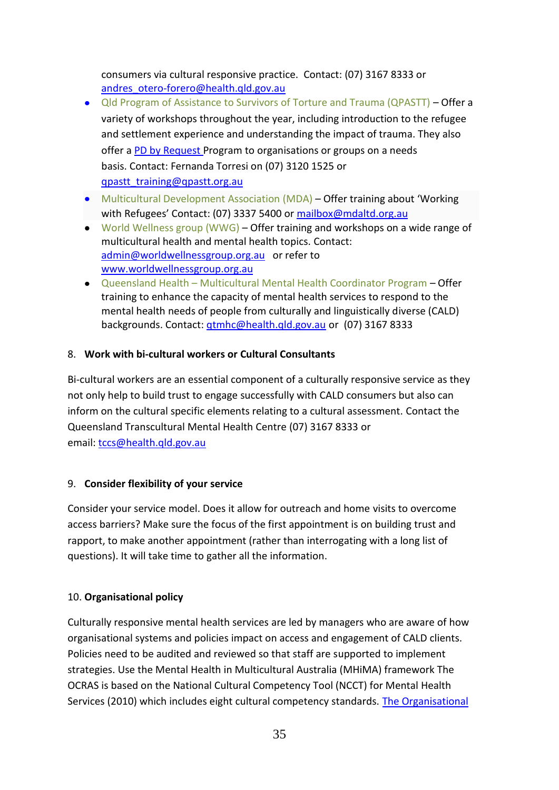consumers via cultural responsive practice. Contact: (07) 3167 8333 or [andres\\_otero-forero@health.qld.gov.au](mailto:andres_otero-forero@health.qld.gov.au)

- Qld Program of Assistance to Survivors of Torture and Trauma (QPASTT) Offer a variety of workshops throughout the year, including introduction to the refugee and settlement experience and understanding the impact of trauma. They also offer a [PD by Request](http://qpastt.org.au/tbcwp1/training/request-professional-development/) Program to organisations or groups on a needs basis. Contact: Fernanda Torresi on (07) 3120 1525 or [qpastt\\_training@qpastt.org.au](mailto:qpastt_training@qpastt.org.au)
- Multicultural Development Association (MDA) Offer training about 'Working with Refugees' Contact: (07) 3337 5400 or [mailbox@mdaltd.org.au](mailto:mailbox@mdaltd.org.au)
- World Wellness group (WWG) Offer training and workshops on a wide range of multicultural health and mental health topics. Contact: [admin@worldwellnessgroup.org.au](mailto:admin@worldwellnessgroup.org.au) or refer to [www.worldwellnessgroup.org.au](http://www.worldwellnessgroup.org.au/)
- Queensland Health Multicultural Mental Health Coordinator Program Offer training to enhance the capacity of mental health services to respond to the mental health needs of people from culturally and linguistically diverse (CALD) backgrounds. Contact: [qtmhc@health.qld.gov.au](mailto:qtmhc@health.qld.gov.au) or (07) 3167 8333

## 8. **Work with bi-cultural workers or Cultural Consultants**

Bi-cultural workers are an essential component of a culturally responsive service as they not only help to build trust to engage successfully with CALD consumers but also can inform on the cultural specific elements relating to a cultural assessment. Contact the Queensland Transcultural Mental Health Centre (07) 3167 8333 or email: [tccs@health.qld.gov.au](mailto:tccs@health.qld.gov.au)

## 9. **Consider flexibility of your service**

Consider your service model. Does it allow for outreach and home visits to overcome access barriers? Make sure the focus of the first appointment is on building trust and rapport, to make another appointment (rather than interrogating with a long list of questions). It will take time to gather all the information.

## 10. **Organisational policy**

Culturally responsive mental health services are led by managers who are aware of how organisational systems and policies impact on access and engagement of CALD clients. Policies need to be audited and reviewed so that staff are supported to implement strategies. Use the Mental Health in Multicultural Australia (MHiMA) framework The OCRAS is based on the National Cultural Competency Tool (NCCT) for Mental Health Services (2010) which includes eight cultural competency standards. The [Organisational](https://mhima.websurvey.net.au/ocras/registration/)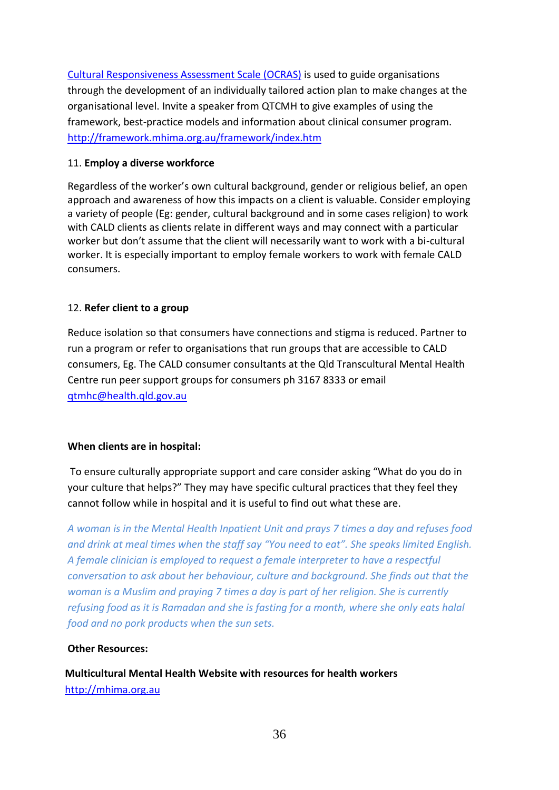[Cultural Responsiveness Assessment Scale \(OCRAS\)](https://mhima.websurvey.net.au/ocras/registration/) is used to guide organisations through the development of an individually tailored action plan to make changes at the organisational level. Invite a speaker from QTCMH to give examples of using the framework, best-practice models and information about clinical consumer program. <http://framework.mhima.org.au/framework/index.htm>

#### 11. **Employ a diverse workforce**

Regardless of the worker's own cultural background, gender or religious belief, an open approach and awareness of how this impacts on a client is valuable. Consider employing a variety of people (Eg: gender, cultural background and in some cases religion) to work with CALD clients as clients relate in different ways and may connect with a particular worker but don't assume that the client will necessarily want to work with a bi-cultural worker. It is especially important to employ female workers to work with female CALD consumers.

#### 12. **Refer client to a group**

Reduce isolation so that consumers have connections and stigma is reduced. Partner to run a program or refer to organisations that run groups that are accessible to CALD consumers, Eg. The CALD consumer consultants at the Qld Transcultural Mental Health Centre run peer support groups for consumers ph 3167 8333 or email [qtmhc@health.qld.gov.au](mailto:qtmhc@health.qld.gov.au)

#### **When clients are in hospital:**

To ensure culturally appropriate support and care consider asking "What do you do in your culture that helps?" They may have specific cultural practices that they feel they cannot follow while in hospital and it is useful to find out what these are.

*A woman is in the Mental Health Inpatient Unit and prays 7 times a day and refuses food and drink at meal times when the staff say "You need to eat". She speaks limited English. A female clinician is employed to request a female interpreter to have a respectful conversation to ask about her behaviour, culture and background. She finds out that the woman is a Muslim and praying 7 times a day is part of her religion. She is currently refusing food as it is Ramadan and she is fasting for a month, where she only eats halal food and no pork products when the sun sets.* 

#### **Other Resources:**

**Multicultural Mental Health Website with resources for health workers**  http://mhima.org.au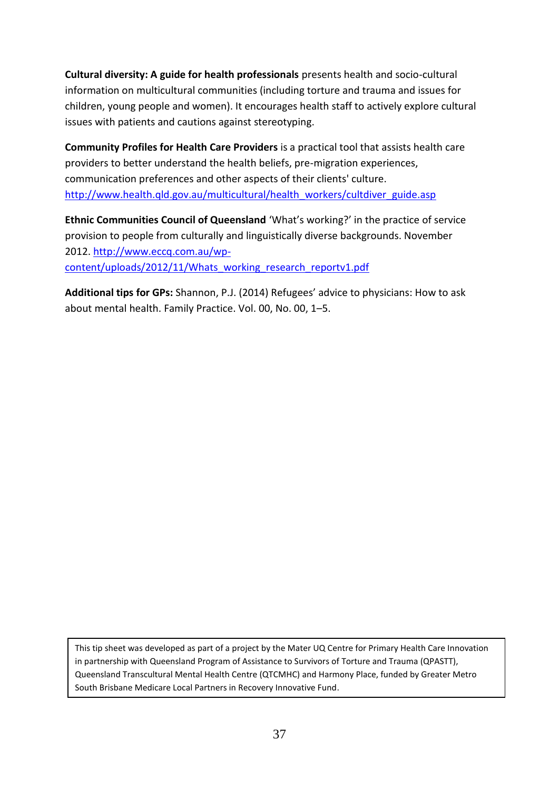**Cultural diversity: A guide for health professionals** presents health and socio-cultural information on multicultural communities (including torture and trauma and issues for children, young people and women). It encourages health staff to actively explore cultural issues with patients and cautions against stereotyping.

**Community Profiles for Health Care Providers** is a practical tool that assists health care providers to better understand the health beliefs, pre-migration experiences, communication preferences and other aspects of their clients' culture. [http://www.health.qld.gov.au/multicultural/health\\_workers/cultdiver\\_guide.asp](http://www.health.qld.gov.au/multicultural/health_workers/cultdiver_guide.asp)

**Ethnic Communities Council of Queensland** 'What's working?' in the practice of service provision to people from culturally and linguistically diverse backgrounds. November 2012. [http://www.eccq.com.au/wp](http://www.eccq.com.au/wp-content/uploads/2012/11/Whats_working_research_reportv1.pdf)[content/uploads/2012/11/Whats\\_working\\_research\\_reportv1.pdf](http://www.eccq.com.au/wp-content/uploads/2012/11/Whats_working_research_reportv1.pdf)

**Additional tips for GPs:** Shannon, P.J. (2014) Refugees' advice to physicians: How to ask about mental health. Family Practice. Vol. 00, No. 00, 1–5.

This tip sheet was developed as part of a project by the Mater UQ Centre for Primary Health Care Innovation in partnership with Queensland Program of Assistance to Survivors of Torture and Trauma (QPASTT), Queensland Transcultural Mental Health Centre (QTCMHC) and Harmony Place, funded by Greater Metro South Brisbane Medicare Local Partners in Recovery Innovative Fund.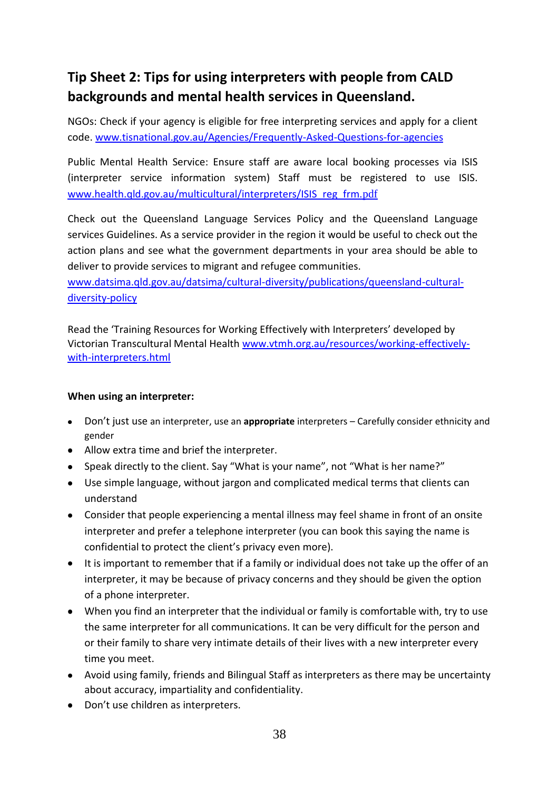# **Tip Sheet 2: Tips for using interpreters with people from CALD backgrounds and mental health services in Queensland.**

NGOs: Check if your agency is eligible for free interpreting services and apply for a client code. [www.tisnational.gov.au/Agencies/Frequently-Asked-Questions-for-agencies](http://www.tisnational.gov.au/Agencies/Frequently-Asked-Questions-for-agencies)

Public Mental Health Service: Ensure staff are aware local booking processes via ISIS (interpreter service information system) Staff must be registered to use ISIS. [www.health.qld.gov.au/multicultural/interpreters/ISIS\\_reg\\_frm.](http://www.health.qld.gov.au/multicultural/interpreters/ISIS_reg_frm.pdf)pdf

Check out the Queensland Language Services Policy and the Queensland Language services Guidelines. As a service provider in the region it would be useful to check out the action plans and see what the government departments in your area should be able to deliver to provide services to migrant and refugee communities.

[www.datsima.qld.gov.au/datsima/cultural-diversity/publications/queensland-cultural](http://www.datsima.qld.gov.au/datsima/cultural-diversity/publications/queensland-cultural-diversity-policy)[diversity-policy](http://www.datsima.qld.gov.au/datsima/cultural-diversity/publications/queensland-cultural-diversity-policy)

Read the 'Training Resources for Working Effectively with Interpreters' developed by Victorian Transcultural Mental Health [www.vtmh.org.au/resources/working-effectively](http://www.vtmh.org.au/resources/working-effectively-with-interpreters.html)[with-interpreters.html](http://www.vtmh.org.au/resources/working-effectively-with-interpreters.html)

#### **When using an interpreter:**

- Don't just use an interpreter, use an **appropriate** interpreters Carefully consider ethnicity and gender
- Allow extra time and brief the interpreter.
- Speak directly to the client. Say "What is your name", not "What is her name?"
- Use simple language, without jargon and complicated medical terms that clients can understand
- Consider that people experiencing a mental illness may feel shame in front of an onsite interpreter and prefer a telephone interpreter (you can book this saying the name is confidential to protect the client's privacy even more).
- It is important to remember that if a family or individual does not take up the offer of an interpreter, it may be because of privacy concerns and they should be given the option of a phone interpreter.
- When you find an interpreter that the individual or family is comfortable with, try to use the same interpreter for all communications. It can be very difficult for the person and or their family to share very intimate details of their lives with a new interpreter every time you meet.
- Avoid using family, friends and Bilingual Staff as interpreters as there may be uncertainty about accuracy, impartiality and confidentiality.
- Don't use children as interpreters.